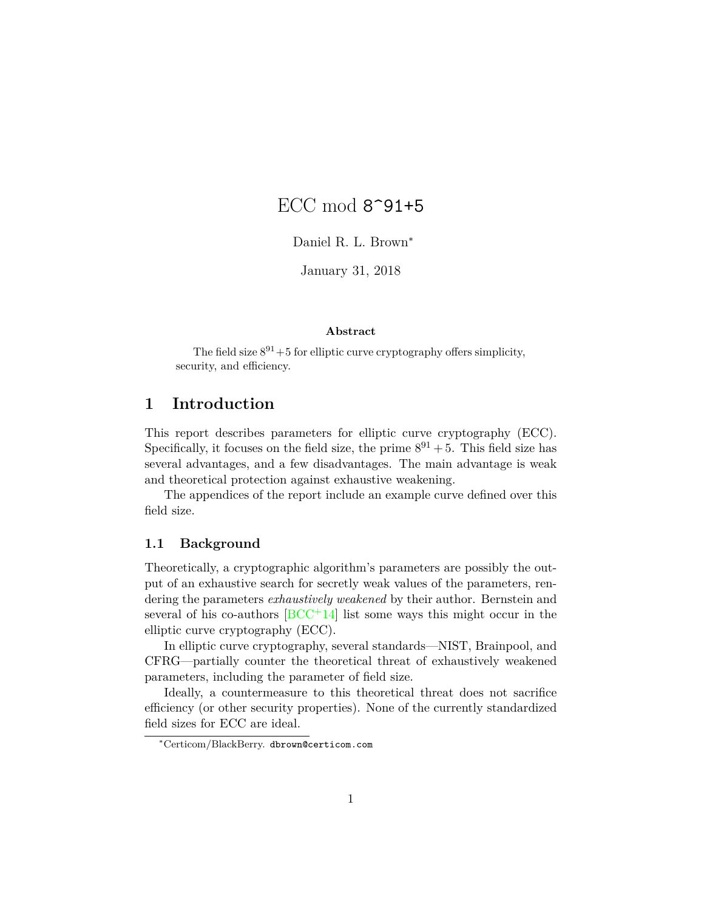# ECC mod 8^91+5

Daniel R. L. Brown<sup>∗</sup>

January 31, 2018

#### **Abstract**

The field size  $8^{91}+5$  for elliptic curve cryptography offers simplicity, security, and efficiency.

## **1 Introduction**

This report describes parameters for elliptic curve cryptography (ECC). Specifically, it focuses on the field size, the prime  $8^{91} + 5$ . This field size has several advantages, and a few disadvantages. The main advantage is weak and theoretical protection against exhaustive weakening.

The appendices of the report include an example curve defined over this field size.

### **1.1 Background**

Theoretically, a cryptographic algorithm's parameters are possibly the output of an exhaustive search for secretly weak values of the parameters, rendering the parameters *exhaustively weakened* by their author. Bernstein and several of his co-authors  $[BCC^+14]$  $[BCC^+14]$  list some ways this might occur in the elliptic curve cryptography (ECC).

In elliptic curve cryptography, several standards—NIST, Brainpool, and CFRG—partially counter the theoretical threat of exhaustively weakened parameters, including the parameter of field size.

Ideally, a countermeasure to this theoretical threat does not sacrifice efficiency (or other security properties). None of the currently standardized field sizes for ECC are ideal.

<sup>∗</sup>Certicom/BlackBerry. dbrown@certicom.com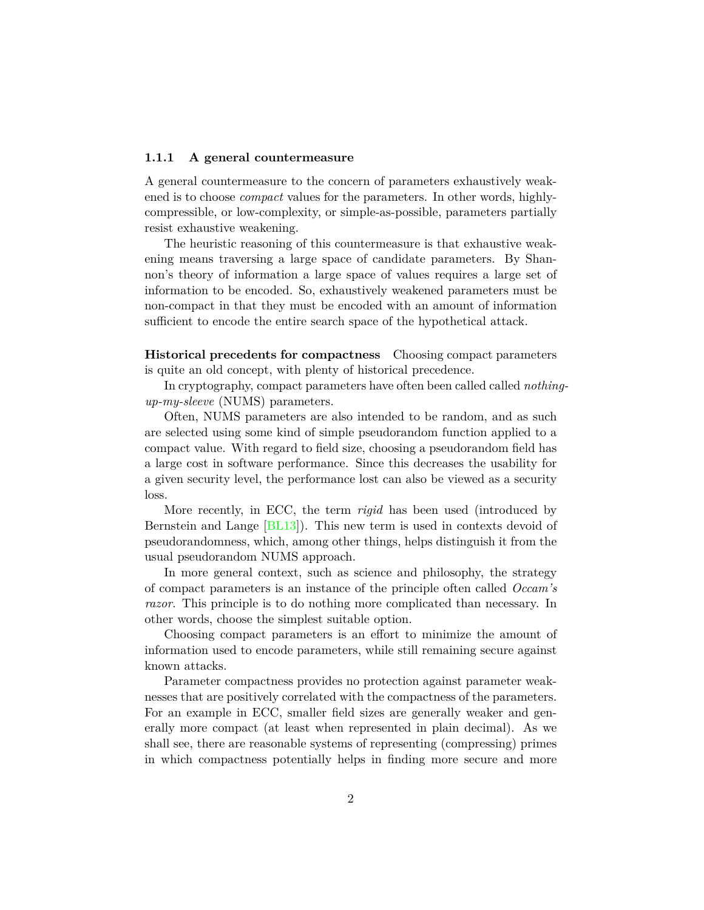#### **1.1.1 A general countermeasure**

A general countermeasure to the concern of parameters exhaustively weakened is to choose *compact* values for the parameters. In other words, highlycompressible, or low-complexity, or simple-as-possible, parameters partially resist exhaustive weakening.

The heuristic reasoning of this countermeasure is that exhaustive weakening means traversing a large space of candidate parameters. By Shannon's theory of information a large space of values requires a large set of information to be encoded. So, exhaustively weakened parameters must be non-compact in that they must be encoded with an amount of information sufficient to encode the entire search space of the hypothetical attack.

**Historical precedents for compactness** Choosing compact parameters is quite an old concept, with plenty of historical precedence.

In cryptography, compact parameters have often been called called *nothingup-my-sleeve* (NUMS) parameters.

Often, NUMS parameters are also intended to be random, and as such are selected using some kind of simple pseudorandom function applied to a compact value. With regard to field size, choosing a pseudorandom field has a large cost in software performance. Since this decreases the usability for a given security level, the performance lost can also be viewed as a security loss.

More recently, in ECC, the term *rigid* has been used (introduced by Bernstein and Lange [\[BL13\]](#page-39-1)). This new term is used in contexts devoid of pseudorandomness, which, among other things, helps distinguish it from the usual pseudorandom NUMS approach.

In more general context, such as science and philosophy, the strategy of compact parameters is an instance of the principle often called *Occam's razor*. This principle is to do nothing more complicated than necessary. In other words, choose the simplest suitable option.

Choosing compact parameters is an effort to minimize the amount of information used to encode parameters, while still remaining secure against known attacks.

Parameter compactness provides no protection against parameter weaknesses that are positively correlated with the compactness of the parameters. For an example in ECC, smaller field sizes are generally weaker and generally more compact (at least when represented in plain decimal). As we shall see, there are reasonable systems of representing (compressing) primes in which compactness potentially helps in finding more secure and more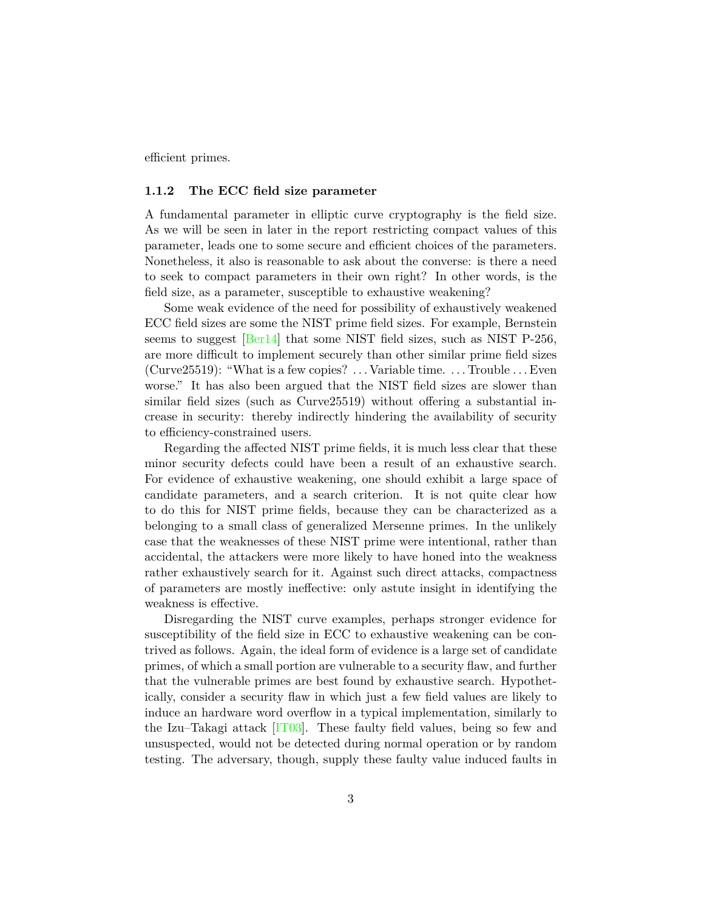efficient primes.

#### **1.1.2 The ECC field size parameter**

A fundamental parameter in elliptic curve cryptography is the field size. As we will be seen in later in the report restricting compact values of this parameter, leads one to some secure and efficient choices of the parameters. Nonetheless, it also is reasonable to ask about the converse: is there a need to seek to compact parameters in their own right? In other words, is the field size, as a parameter, susceptible to exhaustive weakening?

Some weak evidence of the need for possibility of exhaustively weakened ECC field sizes are some the NIST prime field sizes. For example, Bernstein seems to suggest [\[Ber14\]](#page-39-2) that some NIST field sizes, such as NIST P-256, are more difficult to implement securely than other similar prime field sizes (Curve25519): "What is a few copies? . . . Variable time. . . . Trouble . . . Even worse." It has also been argued that the NIST field sizes are slower than similar field sizes (such as Curve25519) without offering a substantial increase in security: thereby indirectly hindering the availability of security to efficiency-constrained users.

Regarding the affected NIST prime fields, it is much less clear that these minor security defects could have been a result of an exhaustive search. For evidence of exhaustive weakening, one should exhibit a large space of candidate parameters, and a search criterion. It is not quite clear how to do this for NIST prime fields, because they can be characterized as a belonging to a small class of generalized Mersenne primes. In the unlikely case that the weaknesses of these NIST prime were intentional, rather than accidental, the attackers were more likely to have honed into the weakness rather exhaustively search for it. Against such direct attacks, compactness of parameters are mostly ineffective: only astute insight in identifying the weakness is effective.

Disregarding the NIST curve examples, perhaps stronger evidence for susceptibility of the field size in ECC to exhaustive weakening can be contrived as follows. Again, the ideal form of evidence is a large set of candidate primes, of which a small portion are vulnerable to a security flaw, and further that the vulnerable primes are best found by exhaustive search. Hypothetically, consider a security flaw in which just a few field values are likely to induce an hardware word overflow in a typical implementation, similarly to the Izu–Takagi attack [\[IT03\]](#page-39-3). These faulty field values, being so few and unsuspected, would not be detected during normal operation or by random testing. The adversary, though, supply these faulty value induced faults in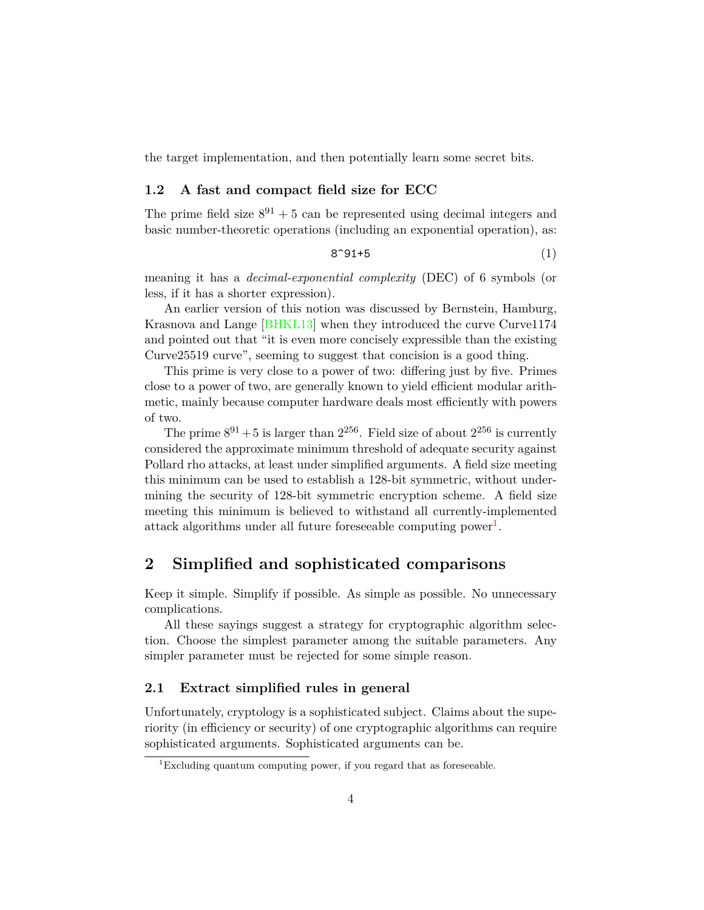the target implementation, and then potentially learn some secret bits.

### **1.2 A fast and compact field size for ECC**

The prime field size  $8^{91} + 5$  can be represented using decimal integers and basic number-theoretic operations (including an exponential operation), as:

$$
8^{\sim}91+5 \tag{1}
$$

meaning it has a *decimal-exponential complexity* (DEC) of 6 symbols (or less, if it has a shorter expression).

An earlier version of this notion was discussed by Bernstein, Hamburg, Krasnova and Lange [\[BHKL13\]](#page-39-4) when they introduced the curve Curve1174 and pointed out that "it is even more concisely expressible than the existing Curve25519 curve", seeming to suggest that concision is a good thing.

This prime is very close to a power of two: differing just by five. Primes close to a power of two, are generally known to yield efficient modular arithmetic, mainly because computer hardware deals most efficiently with powers of two.

The prime  $8^{91}+5$  is larger than  $2^{256}$ . Field size of about  $2^{256}$  is currently considered the approximate minimum threshold of adequate security against Pollard rho attacks, at least under simplified arguments. A field size meeting this minimum can be used to establish a 128-bit symmetric, without undermining the security of 128-bit symmetric encryption scheme. A field size meeting this minimum is believed to withstand all currently-implemented attack algorithms under all future foreseeable computing power<sup>[1](#page-3-0)</sup>.

## **2 Simplified and sophisticated comparisons**

Keep it simple. Simplify if possible. As simple as possible. No unnecessary complications.

All these sayings suggest a strategy for cryptographic algorithm selection. Choose the simplest parameter among the suitable parameters. Any simpler parameter must be rejected for some simple reason.

### **2.1 Extract simplified rules in general**

Unfortunately, cryptology is a sophisticated subject. Claims about the superiority (in efficiency or security) of one cryptographic algorithms can require sophisticated arguments. Sophisticated arguments can be.

<span id="page-3-0"></span><sup>&</sup>lt;sup>1</sup>Excluding quantum computing power, if you regard that as foreseeable.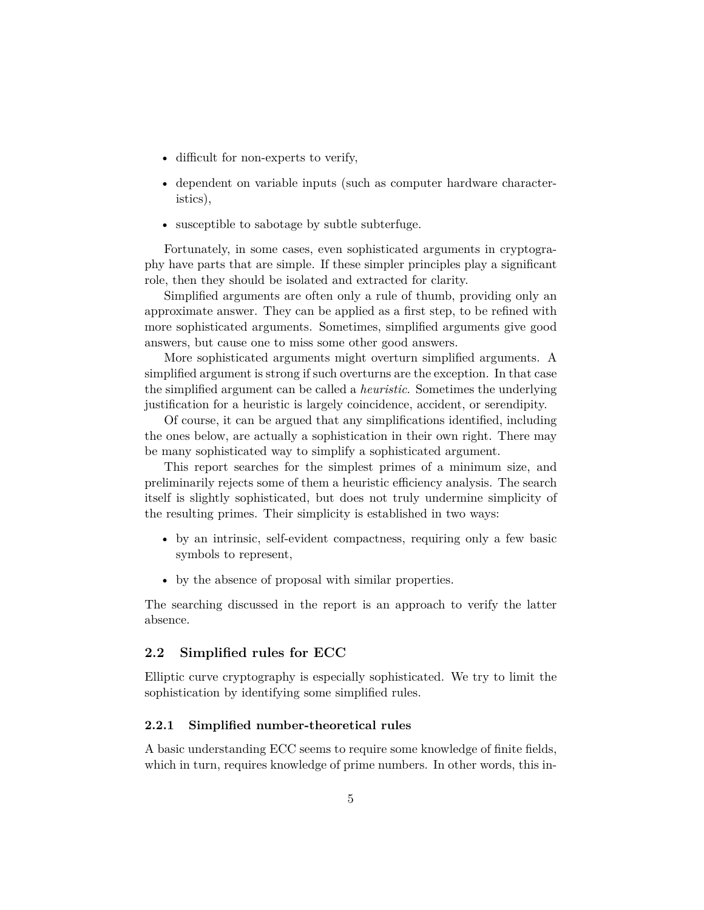- difficult for non-experts to verify,
- dependent on variable inputs (such as computer hardware characteristics),
- susceptible to sabotage by subtle subterfuge.

Fortunately, in some cases, even sophisticated arguments in cryptography have parts that are simple. If these simpler principles play a significant role, then they should be isolated and extracted for clarity.

Simplified arguments are often only a rule of thumb, providing only an approximate answer. They can be applied as a first step, to be refined with more sophisticated arguments. Sometimes, simplified arguments give good answers, but cause one to miss some other good answers.

More sophisticated arguments might overturn simplified arguments. A simplified argument is strong if such overturns are the exception. In that case the simplified argument can be called a *heuristic*. Sometimes the underlying justification for a heuristic is largely coincidence, accident, or serendipity.

Of course, it can be argued that any simplifications identified, including the ones below, are actually a sophistication in their own right. There may be many sophisticated way to simplify a sophisticated argument.

This report searches for the simplest primes of a minimum size, and preliminarily rejects some of them a heuristic efficiency analysis. The search itself is slightly sophisticated, but does not truly undermine simplicity of the resulting primes. Their simplicity is established in two ways:

- by an intrinsic, self-evident compactness, requiring only a few basic symbols to represent,
- by the absence of proposal with similar properties.

The searching discussed in the report is an approach to verify the latter absence.

### **2.2 Simplified rules for ECC**

Elliptic curve cryptography is especially sophisticated. We try to limit the sophistication by identifying some simplified rules.

### **2.2.1 Simplified number-theoretical rules**

A basic understanding ECC seems to require some knowledge of finite fields, which in turn, requires knowledge of prime numbers. In other words, this in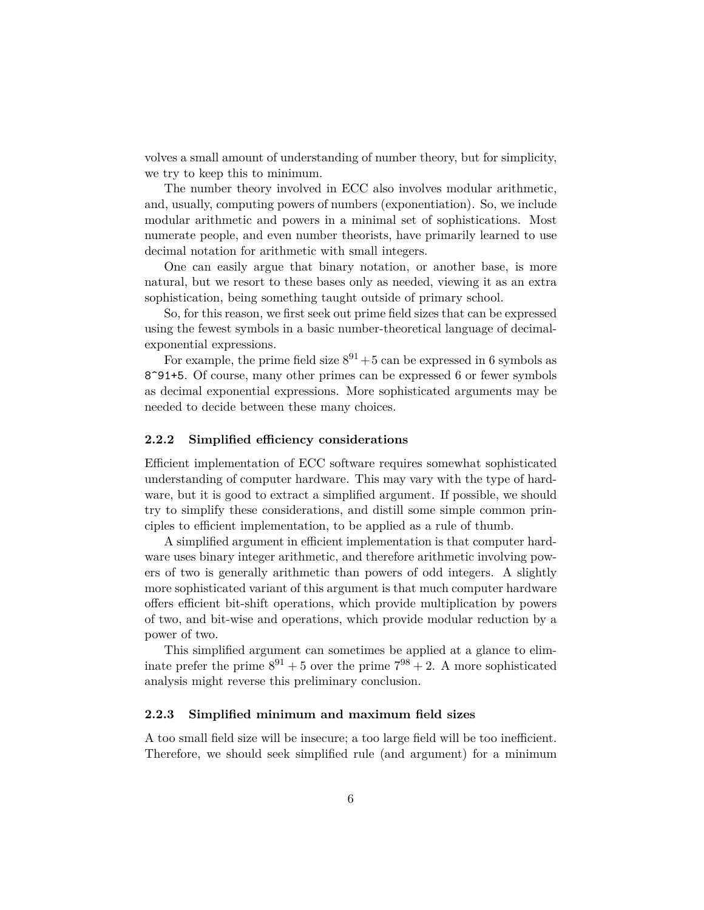volves a small amount of understanding of number theory, but for simplicity, we try to keep this to minimum.

The number theory involved in ECC also involves modular arithmetic, and, usually, computing powers of numbers (exponentiation). So, we include modular arithmetic and powers in a minimal set of sophistications. Most numerate people, and even number theorists, have primarily learned to use decimal notation for arithmetic with small integers.

One can easily argue that binary notation, or another base, is more natural, but we resort to these bases only as needed, viewing it as an extra sophistication, being something taught outside of primary school.

So, for this reason, we first seek out prime field sizes that can be expressed using the fewest symbols in a basic number-theoretical language of decimalexponential expressions.

For example, the prime field size  $8^{91}+5$  can be expressed in 6 symbols as 8^91+5. Of course, many other primes can be expressed 6 or fewer symbols as decimal exponential expressions. More sophisticated arguments may be needed to decide between these many choices.

#### **2.2.2 Simplified efficiency considerations**

Efficient implementation of ECC software requires somewhat sophisticated understanding of computer hardware. This may vary with the type of hardware, but it is good to extract a simplified argument. If possible, we should try to simplify these considerations, and distill some simple common principles to efficient implementation, to be applied as a rule of thumb.

A simplified argument in efficient implementation is that computer hardware uses binary integer arithmetic, and therefore arithmetic involving powers of two is generally arithmetic than powers of odd integers. A slightly more sophisticated variant of this argument is that much computer hardware offers efficient bit-shift operations, which provide multiplication by powers of two, and bit-wise and operations, which provide modular reduction by a power of two.

This simplified argument can sometimes be applied at a glance to eliminate prefer the prime  $8^{91} + 5$  over the prime  $7^{98} + 2$ . A more sophisticated analysis might reverse this preliminary conclusion.

#### **2.2.3 Simplified minimum and maximum field sizes**

A too small field size will be insecure; a too large field will be too inefficient. Therefore, we should seek simplified rule (and argument) for a minimum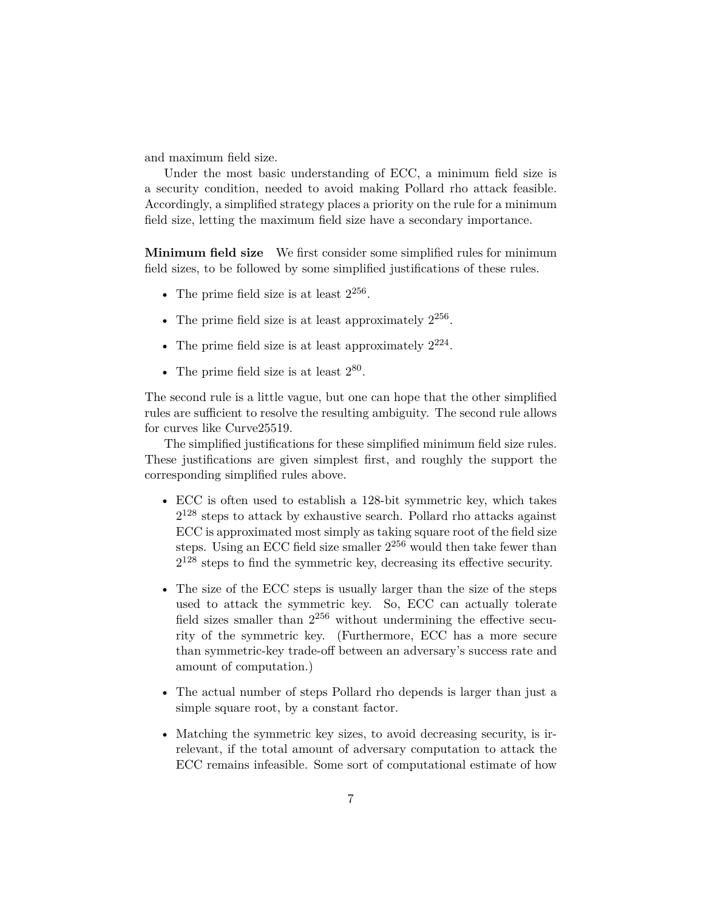and maximum field size.

Under the most basic understanding of ECC, a minimum field size is a security condition, needed to avoid making Pollard rho attack feasible. Accordingly, a simplified strategy places a priority on the rule for a minimum field size, letting the maximum field size have a secondary importance.

**Minimum field size** We first consider some simplified rules for minimum field sizes, to be followed by some simplified justifications of these rules.

- The prime field size is at least  $2^{256}$ .
- The prime field size is at least approximately  $2^{256}$ .
- The prime field size is at least approximately  $2^{224}$ .
- The prime field size is at least  $2^{80}$ .

The second rule is a little vague, but one can hope that the other simplified rules are sufficient to resolve the resulting ambiguity. The second rule allows for curves like Curve25519.

The simplified justifications for these simplified minimum field size rules. These justifications are given simplest first, and roughly the support the corresponding simplified rules above.

- ECC is often used to establish a 128-bit symmetric key, which takes  $2^{128}$  steps to attack by exhaustive search. Pollard rho attacks against ECC is approximated most simply as taking square root of the field size steps. Using an ECC field size smaller  $2^{256}$  would then take fewer than  $2^{128}$  steps to find the symmetric key, decreasing its effective security.
- The size of the ECC steps is usually larger than the size of the steps used to attack the symmetric key. So, ECC can actually tolerate field sizes smaller than  $2^{256}$  without undermining the effective security of the symmetric key. (Furthermore, ECC has a more secure than symmetric-key trade-off between an adversary's success rate and amount of computation.)
- The actual number of steps Pollard rho depends is larger than just a simple square root, by a constant factor.
- Matching the symmetric key sizes, to avoid decreasing security, is irrelevant, if the total amount of adversary computation to attack the ECC remains infeasible. Some sort of computational estimate of how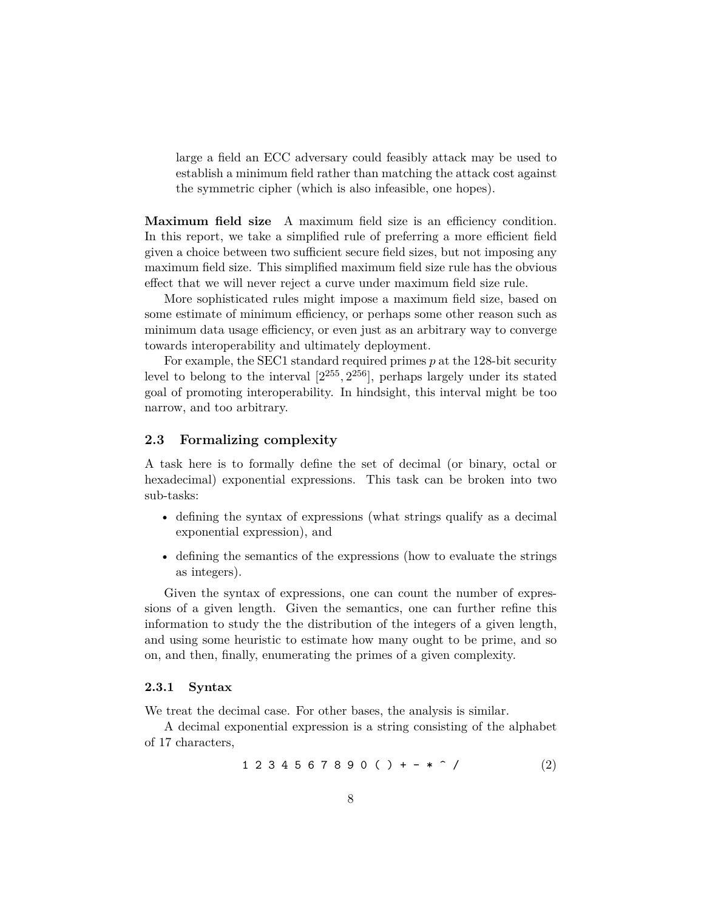large a field an ECC adversary could feasibly attack may be used to establish a minimum field rather than matching the attack cost against the symmetric cipher (which is also infeasible, one hopes).

**Maximum field size** A maximum field size is an efficiency condition. In this report, we take a simplified rule of preferring a more efficient field given a choice between two sufficient secure field sizes, but not imposing any maximum field size. This simplified maximum field size rule has the obvious effect that we will never reject a curve under maximum field size rule.

More sophisticated rules might impose a maximum field size, based on some estimate of minimum efficiency, or perhaps some other reason such as minimum data usage efficiency, or even just as an arbitrary way to converge towards interoperability and ultimately deployment.

For example, the SEC1 standard required primes *p* at the 128-bit security level to belong to the interval  $[2^{255}, 2^{256}]$ , perhaps largely under its stated goal of promoting interoperability. In hindsight, this interval might be too narrow, and too arbitrary.

### **2.3 Formalizing complexity**

A task here is to formally define the set of decimal (or binary, octal or hexadecimal) exponential expressions. This task can be broken into two sub-tasks:

- defining the syntax of expressions (what strings qualify as a decimal exponential expression), and
- defining the semantics of the expressions (how to evaluate the strings as integers).

Given the syntax of expressions, one can count the number of expressions of a given length. Given the semantics, one can further refine this information to study the the distribution of the integers of a given length, and using some heuristic to estimate how many ought to be prime, and so on, and then, finally, enumerating the primes of a given complexity.

#### **2.3.1 Syntax**

We treat the decimal case. For other bases, the analysis is similar.

A decimal exponential expression is a string consisting of the alphabet of 17 characters,

1 2 3 4 5 6 7 8 9 0 ( ) + - \* ^ / (2)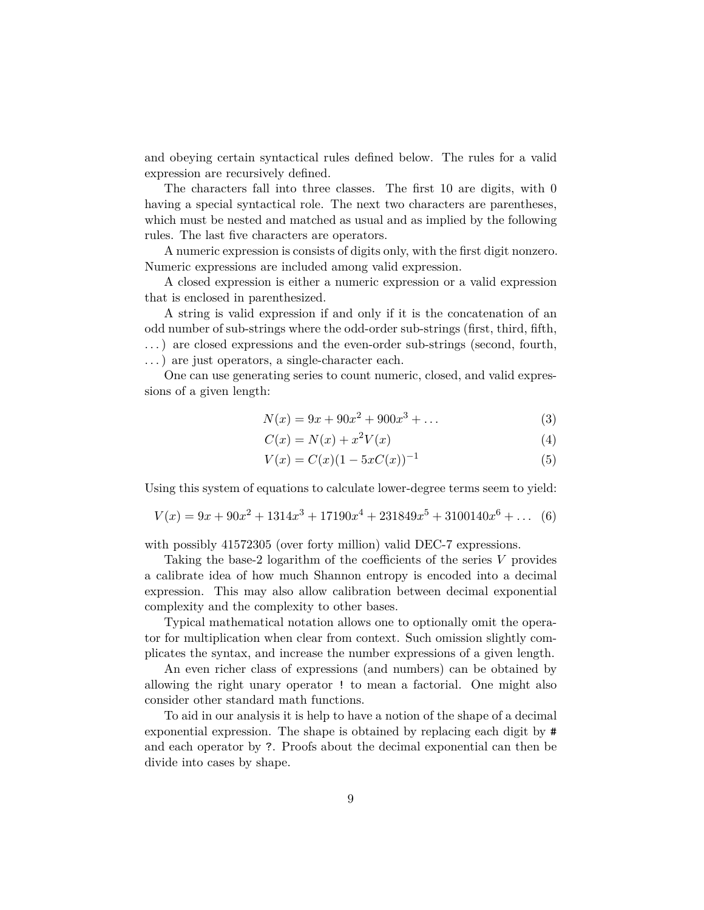and obeying certain syntactical rules defined below. The rules for a valid expression are recursively defined.

The characters fall into three classes. The first 10 are digits, with 0 having a special syntactical role. The next two characters are parentheses, which must be nested and matched as usual and as implied by the following rules. The last five characters are operators.

A numeric expression is consists of digits only, with the first digit nonzero. Numeric expressions are included among valid expression.

A closed expression is either a numeric expression or a valid expression that is enclosed in parenthesized.

A string is valid expression if and only if it is the concatenation of an odd number of sub-strings where the odd-order sub-strings (first, third, fifth, . . . ) are closed expressions and the even-order sub-strings (second, fourth, . . . ) are just operators, a single-character each.

One can use generating series to count numeric, closed, and valid expressions of a given length:

$$
N(x) = 9x + 90x^{2} + 900x^{3} + \dots
$$
 (3)

$$
C(x) = N(x) + x^2 V(x)
$$
\n<sup>(4)</sup>

$$
V(x) = C(x)(1 - 5xC(x))^{-1}
$$
\n(5)

Using this system of equations to calculate lower-degree terms seem to yield:

$$
V(x) = 9x + 90x^{2} + 1314x^{3} + 17190x^{4} + 231849x^{5} + 3100140x^{6} + \dots
$$
 (6)

with possibly 41572305 (over forty million) valid DEC-7 expressions.

Taking the base-2 logarithm of the coefficients of the series *V* provides a calibrate idea of how much Shannon entropy is encoded into a decimal expression. This may also allow calibration between decimal exponential complexity and the complexity to other bases.

Typical mathematical notation allows one to optionally omit the operator for multiplication when clear from context. Such omission slightly complicates the syntax, and increase the number expressions of a given length.

An even richer class of expressions (and numbers) can be obtained by allowing the right unary operator ! to mean a factorial. One might also consider other standard math functions.

To aid in our analysis it is help to have a notion of the shape of a decimal exponential expression. The shape is obtained by replacing each digit by # and each operator by ?. Proofs about the decimal exponential can then be divide into cases by shape.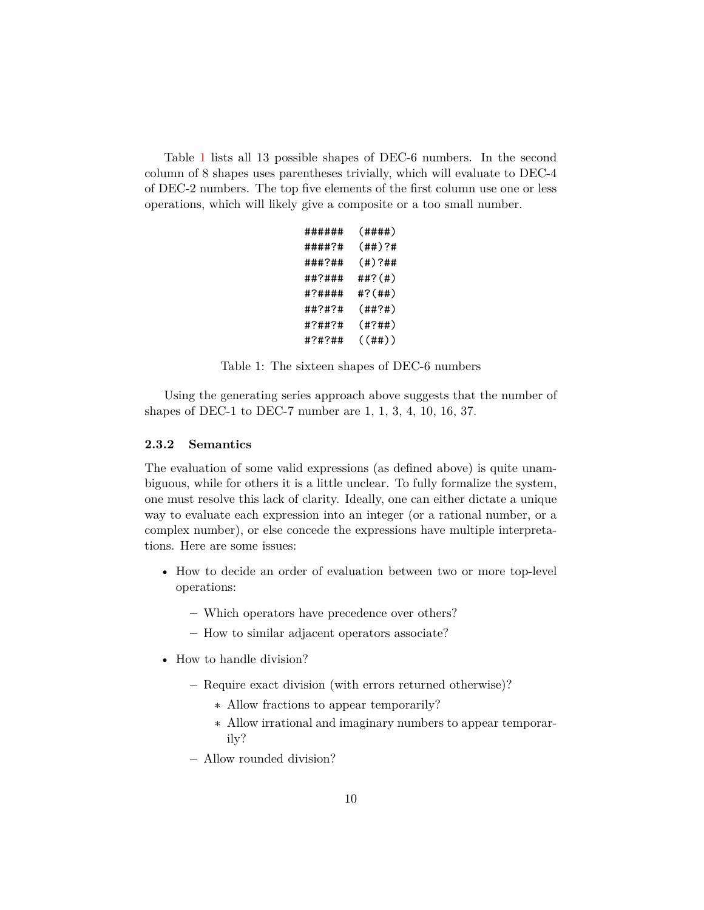Table [1](#page-9-0) lists all 13 possible shapes of DEC-6 numbers. In the second column of 8 shapes uses parentheses trivially, which will evaluate to DEC-4 of DEC-2 numbers. The top five elements of the first column use one or less operations, which will likely give a composite or a too small number.

| #####  | (####)       |
|--------|--------------|
| ####7# | (##)?#       |
| ###?## | $(\#)$ ?##   |
| ##7### | ##?(#)       |
| #?#### | $#?$ $( ##)$ |
| ##?#?# | (##?#)       |
| #7##7# | (#?##)       |
| #7#7## | ((##))       |

<span id="page-9-0"></span>Table 1: The sixteen shapes of DEC-6 numbers

Using the generating series approach above suggests that the number of shapes of DEC-1 to DEC-7 number are 1, 1, 3, 4, 10, 16, 37.

### **2.3.2 Semantics**

The evaluation of some valid expressions (as defined above) is quite unambiguous, while for others it is a little unclear. To fully formalize the system, one must resolve this lack of clarity. Ideally, one can either dictate a unique way to evaluate each expression into an integer (or a rational number, or a complex number), or else concede the expressions have multiple interpretations. Here are some issues:

- How to decide an order of evaluation between two or more top-level operations:
	- **–** Which operators have precedence over others?
	- **–** How to similar adjacent operators associate?
- How to handle division?
	- **–** Require exact division (with errors returned otherwise)?
		- ∗ Allow fractions to appear temporarily?
		- ∗ Allow irrational and imaginary numbers to appear temporarily?
	- **–** Allow rounded division?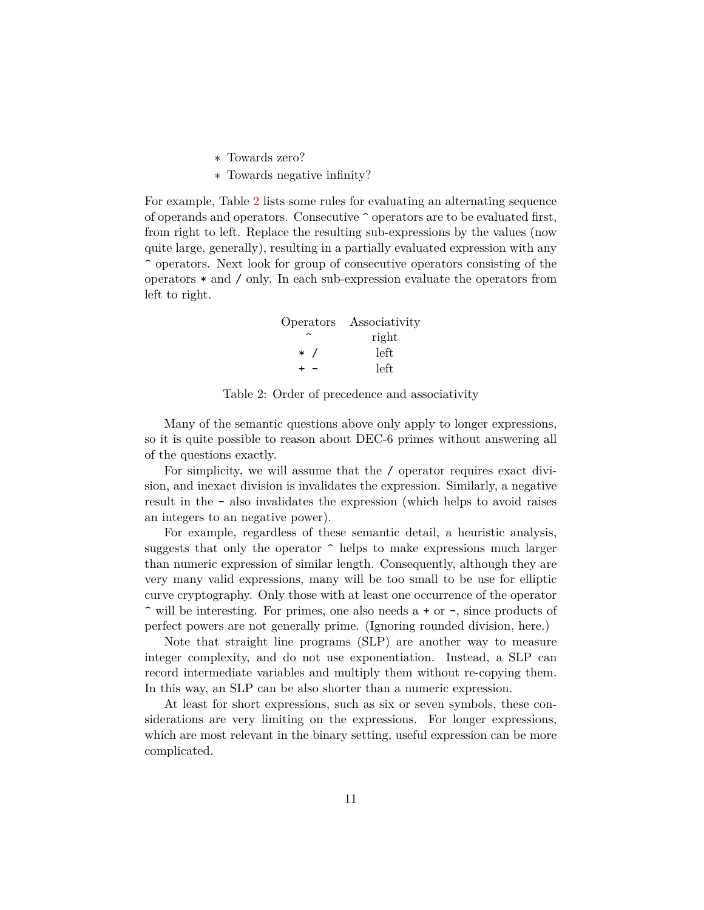- ∗ Towards zero?
- ∗ Towards negative infinity?

For example, Table [2](#page-10-0) lists some rules for evaluating an alternating sequence of operands and operators. Consecutive ^ operators are to be evaluated first, from right to left. Replace the resulting sub-expressions by the values (now quite large, generally), resulting in a partially evaluated expression with any ^ operators. Next look for group of consecutive operators consisting of the operators \* and / only. In each sub-expression evaluate the operators from left to right.

|       | Operators Associativity |
|-------|-------------------------|
|       | right                   |
| $*$ / | left                    |
| +     | left                    |

<span id="page-10-0"></span>Table 2: Order of precedence and associativity

Many of the semantic questions above only apply to longer expressions, so it is quite possible to reason about DEC-6 primes without answering all of the questions exactly.

For simplicity, we will assume that the / operator requires exact division, and inexact division is invalidates the expression. Similarly, a negative result in the - also invalidates the expression (which helps to avoid raises an integers to an negative power).

For example, regardless of these semantic detail, a heuristic analysis, suggests that only the operator  $\hat{\ }$  helps to make expressions much larger than numeric expression of similar length. Consequently, although they are very many valid expressions, many will be too small to be use for elliptic curve cryptography. Only those with at least one occurrence of the operator ^ will be interesting. For primes, one also needs a + or -, since products of perfect powers are not generally prime. (Ignoring rounded division, here.)

Note that straight line programs (SLP) are another way to measure integer complexity, and do not use exponentiation. Instead, a SLP can record intermediate variables and multiply them without re-copying them. In this way, an SLP can be also shorter than a numeric expression.

At least for short expressions, such as six or seven symbols, these considerations are very limiting on the expressions. For longer expressions, which are most relevant in the binary setting, useful expression can be more complicated.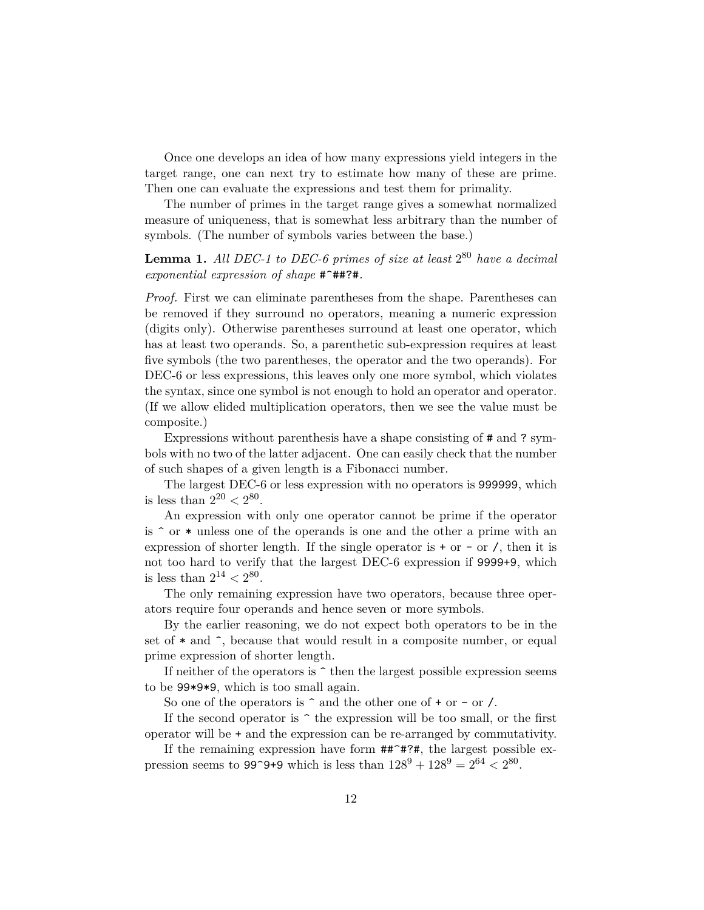Once one develops an idea of how many expressions yield integers in the target range, one can next try to estimate how many of these are prime. Then one can evaluate the expressions and test them for primality.

The number of primes in the target range gives a somewhat normalized measure of uniqueness, that is somewhat less arbitrary than the number of symbols. (The number of symbols varies between the base.)

### **Lemma 1.** *All DEC-1 to DEC-6 primes of size at least* 2 <sup>80</sup> *have a decimal exponential expression of shape* #^##?#*.*

*Proof.* First we can eliminate parentheses from the shape. Parentheses can be removed if they surround no operators, meaning a numeric expression (digits only). Otherwise parentheses surround at least one operator, which has at least two operands. So, a parenthetic sub-expression requires at least five symbols (the two parentheses, the operator and the two operands). For DEC-6 or less expressions, this leaves only one more symbol, which violates the syntax, since one symbol is not enough to hold an operator and operator. (If we allow elided multiplication operators, then we see the value must be composite.)

Expressions without parenthesis have a shape consisting of # and ? symbols with no two of the latter adjacent. One can easily check that the number of such shapes of a given length is a Fibonacci number.

The largest DEC-6 or less expression with no operators is 999999, which is less than  $2^{20} < 2^{80}$ .

An expression with only one operator cannot be prime if the operator is  $\hat{ }$  or  $*$  unless one of the operands is one and the other a prime with an expression of shorter length. If the single operator is  $+$  or  $-$  or  $\prime$ , then it is not too hard to verify that the largest DEC-6 expression if 9999+9, which is less than  $2^{14} < 2^{80}$ .

The only remaining expression have two operators, because three operators require four operands and hence seven or more symbols.

By the earlier reasoning, we do not expect both operators to be in the set of  $*$  and  $\hat{\ }$ , because that would result in a composite number, or equal prime expression of shorter length.

If neither of the operators is  $\hat{\ }$  then the largest possible expression seems to be 99\*9\*9, which is too small again.

So one of the operators is  $\hat{\ }$  and the other one of  $+$  or  $-\text{ or }$  /.

If the second operator is  $\hat{\ }$  the expression will be too small, or the first operator will be + and the expression can be re-arranged by commutativity.

If the remaining expression have form  $\#^* \#^* \#$ , the largest possible expression seems to 99 $\degree$ 9+9 which is less than  $128^9 + 128^9 = 2^{64} < 2^{80}$ .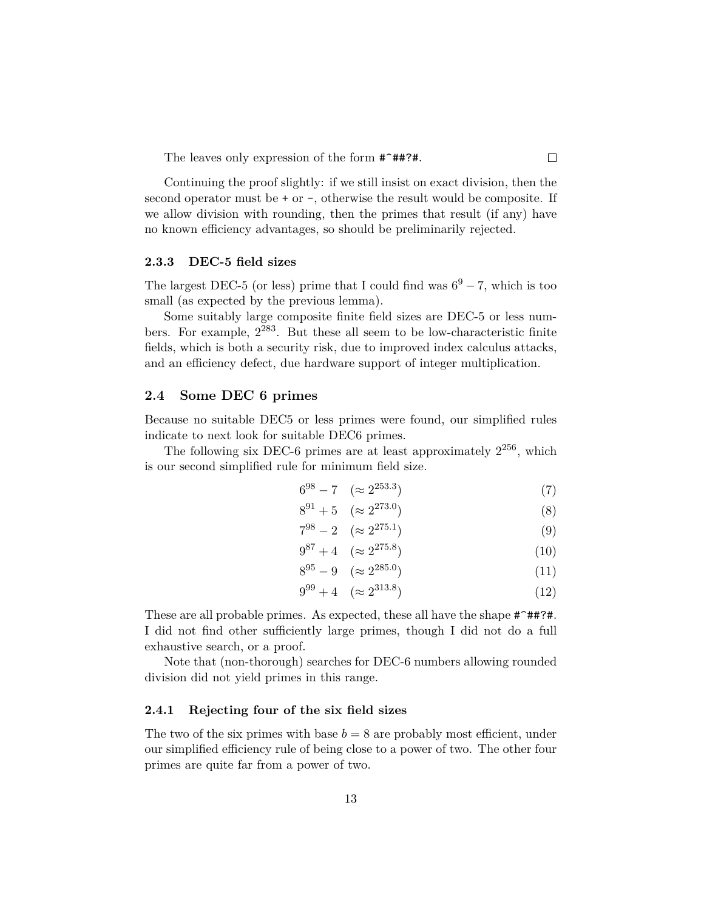The leaves only expression of the form #^##?#.

Continuing the proof slightly: if we still insist on exact division, then the second operator must be  $+$  or  $-$ , otherwise the result would be composite. If we allow division with rounding, then the primes that result (if any) have no known efficiency advantages, so should be preliminarily rejected.

### **2.3.3 DEC-5 field sizes**

The largest DEC-5 (or less) prime that I could find was  $6^9 - 7$ , which is too small (as expected by the previous lemma).

Some suitably large composite finite field sizes are DEC-5 or less numbers. For example, 2 <sup>283</sup>. But these all seem to be low-characteristic finite fields, which is both a security risk, due to improved index calculus attacks, and an efficiency defect, due hardware support of integer multiplication.

### **2.4 Some DEC 6 primes**

Because no suitable DEC5 or less primes were found, our simplified rules indicate to next look for suitable DEC6 primes.

The following six DEC-6 primes are at least approximately  $2^{256}$ , which is our second simplified rule for minimum field size.

$$
6^{98} - 7 \quad (\approx 2^{253.3}) \tag{7}
$$

$$
8^{91} + 5 \quad (\approx 2^{273.0}) \tag{8}
$$

$$
7^{98} - 2 \quad (\approx 2^{275.1}) \tag{9}
$$

$$
9^{87} + 4 \quad (\approx 2^{275.8}) \tag{10}
$$

$$
8^{95} - 9 \quad (\approx 2^{285.0}) \tag{11}
$$

$$
9^{99} + 4 \quad (\approx 2^{313.8}) \tag{12}
$$

These are all probable primes. As expected, these all have the shape #^##?#. I did not find other sufficiently large primes, though I did not do a full exhaustive search, or a proof.

Note that (non-thorough) searches for DEC-6 numbers allowing rounded division did not yield primes in this range.

### **2.4.1 Rejecting four of the six field sizes**

The two of the six primes with base  $b = 8$  are probably most efficient, under our simplified efficiency rule of being close to a power of two. The other four primes are quite far from a power of two.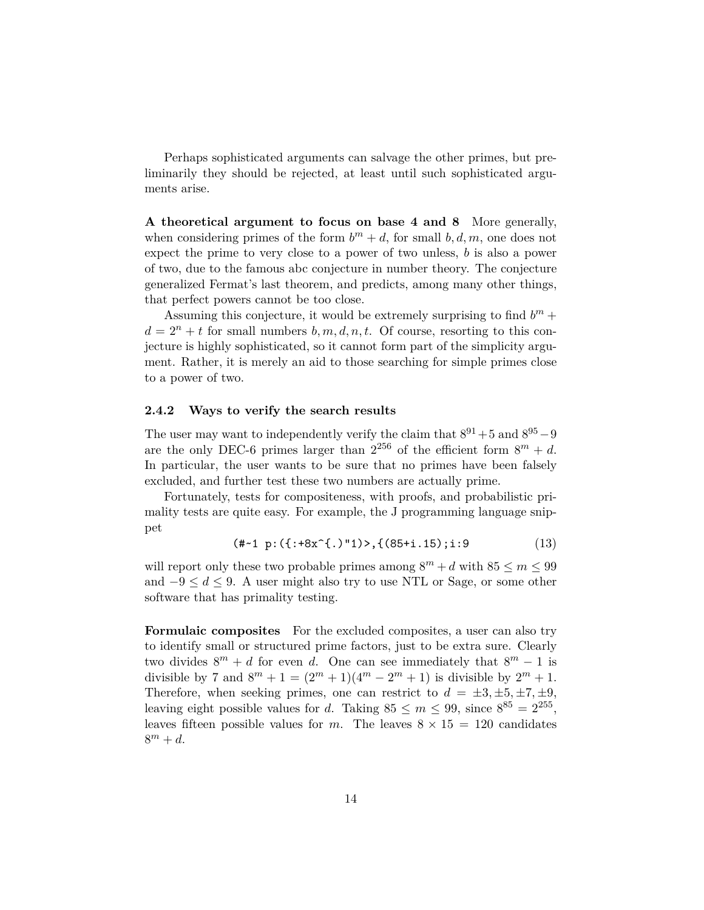Perhaps sophisticated arguments can salvage the other primes, but preliminarily they should be rejected, at least until such sophisticated arguments arise.

**A theoretical argument to focus on base 4 and 8** More generally, when considering primes of the form  $b^m + d$ , for small  $b, d, m$ , one does not expect the prime to very close to a power of two unless, *b* is also a power of two, due to the famous abc conjecture in number theory. The conjecture generalized Fermat's last theorem, and predicts, among many other things, that perfect powers cannot be too close.

Assuming this conjecture, it would be extremely surprising to find  $b^m$  +  $d = 2^n + t$  for small numbers  $b, m, d, n, t$ . Of course, resorting to this conjecture is highly sophisticated, so it cannot form part of the simplicity argument. Rather, it is merely an aid to those searching for simple primes close to a power of two.

### **2.4.2 Ways to verify the search results**

The user may want to independently verify the claim that  $8^{91} + 5$  and  $8^{95} - 9$ are the only DEC-6 primes larger than  $2^{256}$  of the efficient form  $8^m + d$ . In particular, the user wants to be sure that no primes have been falsely excluded, and further test these two numbers are actually prime.

Fortunately, tests for compositeness, with proofs, and probabilistic primality tests are quite easy. For example, the J programming language snippet

$$
(\text{#} \sim 1 \text{ p}: (\{\cdot + 8x^{\hat{}}\}, \{\cdot\} \text{ m}) > \text{, } \{\text{(85 + i . 15)}; i : 9 \tag{13}\}
$$

will report only these two probable primes among  $8^m + d$  with  $85 \le m \le 99$ and  $-9 \leq d \leq 9$ . A user might also try to use NTL or Sage, or some other software that has primality testing.

**Formulaic composites** For the excluded composites, a user can also try to identify small or structured prime factors, just to be extra sure. Clearly two divides  $8^m + d$  for even *d*. One can see immediately that  $8^m - 1$  is divisible by 7 and  $8^m + 1 = (2^m + 1)(4^m - 2^m + 1)$  is divisible by  $2^m + 1$ . Therefore, when seeking primes, one can restrict to  $d = \pm 3, \pm 5, \pm 7, \pm 9$ , leaving eight possible values for *d*. Taking  $85 \le m \le 99$ , since  $8^{85} = 2^{255}$ , leaves fifteen possible values for *m*. The leaves  $8 \times 15 = 120$  candidates  $8^m + d$ .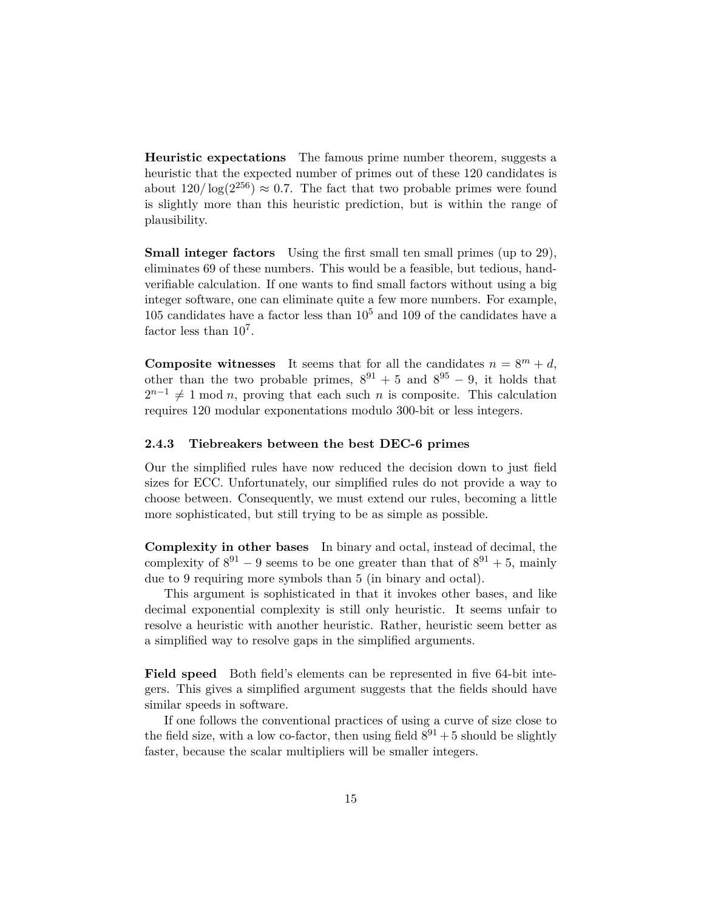**Heuristic expectations** The famous prime number theorem, suggests a heuristic that the expected number of primes out of these 120 candidates is about  $120/\log(2^{256}) \approx 0.7$ . The fact that two probable primes were found is slightly more than this heuristic prediction, but is within the range of plausibility.

**Small integer factors** Using the first small ten small primes (up to 29), eliminates 69 of these numbers. This would be a feasible, but tedious, handverifiable calculation. If one wants to find small factors without using a big integer software, one can eliminate quite a few more numbers. For example, 105 candidates have a factor less than  $10^5$  and 109 of the candidates have a factor less than  $10<sup>7</sup>$ .

**Composite witnesses** It seems that for all the candidates  $n = 8^m + d$ , other than the two probable primes,  $8^{91} + 5$  and  $8^{95} - 9$ , it holds that  $2^{n-1} \neq 1$  mod *n*, proving that each such *n* is composite. This calculation requires 120 modular exponentations modulo 300-bit or less integers.

#### **2.4.3 Tiebreakers between the best DEC-6 primes**

Our the simplified rules have now reduced the decision down to just field sizes for ECC. Unfortunately, our simplified rules do not provide a way to choose between. Consequently, we must extend our rules, becoming a little more sophisticated, but still trying to be as simple as possible.

**Complexity in other bases** In binary and octal, instead of decimal, the complexity of  $8^{91} - 9$  seems to be one greater than that of  $8^{91} + 5$ , mainly due to 9 requiring more symbols than 5 (in binary and octal).

This argument is sophisticated in that it invokes other bases, and like decimal exponential complexity is still only heuristic. It seems unfair to resolve a heuristic with another heuristic. Rather, heuristic seem better as a simplified way to resolve gaps in the simplified arguments.

**Field speed** Both field's elements can be represented in five 64-bit integers. This gives a simplified argument suggests that the fields should have similar speeds in software.

If one follows the conventional practices of using a curve of size close to the field size, with a low co-factor, then using field  $8^{91} + 5$  should be slightly faster, because the scalar multipliers will be smaller integers.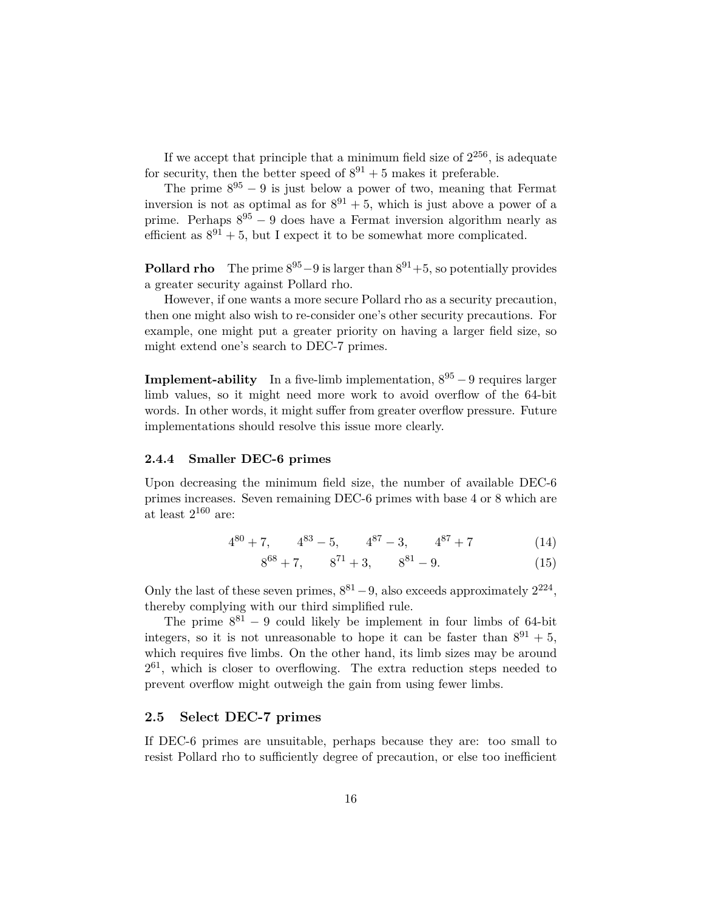If we accept that principle that a minimum field size of  $2^{256}$ , is adequate for security, then the better speed of  $8^{91} + 5$  makes it preferable.

The prime  $8^{95} - 9$  is just below a power of two, meaning that Fermat inversion is not as optimal as for  $8^{91} + 5$ , which is just above a power of a prime. Perhaps  $8^{95} - 9$  does have a Fermat inversion algorithm nearly as efficient as  $8^{91} + 5$ , but I expect it to be somewhat more complicated.

**Pollard rho** The prime  $8^{95} - 9$  is larger than  $8^{91} + 5$ , so potentially provides a greater security against Pollard rho.

However, if one wants a more secure Pollard rho as a security precaution, then one might also wish to re-consider one's other security precautions. For example, one might put a greater priority on having a larger field size, so might extend one's search to DEC-7 primes.

**Implement-ability** In a five-limb implementation,  $8^{95}$  − 9 requires larger limb values, so it might need more work to avoid overflow of the 64-bit words. In other words, it might suffer from greater overflow pressure. Future implementations should resolve this issue more clearly.

#### **2.4.4 Smaller DEC-6 primes**

Upon decreasing the minimum field size, the number of available DEC-6 primes increases. Seven remaining DEC-6 primes with base 4 or 8 which are at least  $2^{160}$  are:

$$
4^{80} + 7, \qquad 4^{83} - 5, \qquad 4^{87} - 3, \qquad 4^{87} + 7 \tag{14}
$$

$$
8^{68} + 7, \qquad 8^{71} + 3, \qquad 8^{81} - 9. \tag{15}
$$

Only the last of these seven primes,  $8^{81} - 9$ , also exceeds approximately  $2^{224}$ , thereby complying with our third simplified rule.

The prime  $8^{81} - 9$  could likely be implement in four limbs of 64-bit integers, so it is not unreasonable to hope it can be faster than  $8^{91} + 5$ , which requires five limbs. On the other hand, its limb sizes may be around  $2^{61}$ , which is closer to overflowing. The extra reduction steps needed to prevent overflow might outweigh the gain from using fewer limbs.

### **2.5 Select DEC-7 primes**

If DEC-6 primes are unsuitable, perhaps because they are: too small to resist Pollard rho to sufficiently degree of precaution, or else too inefficient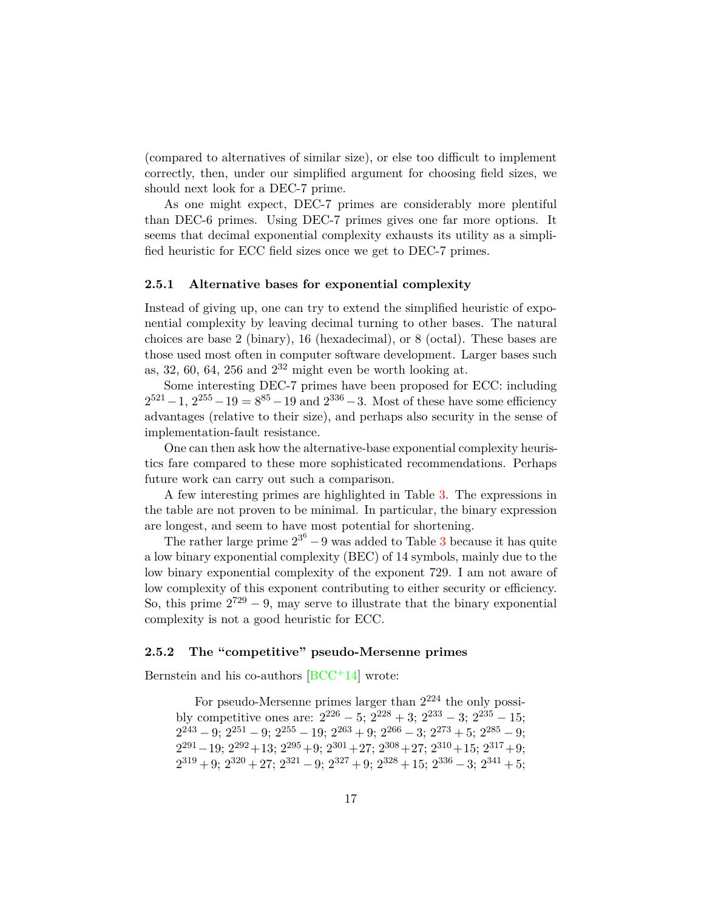(compared to alternatives of similar size), or else too difficult to implement correctly, then, under our simplified argument for choosing field sizes, we should next look for a DEC-7 prime.

As one might expect, DEC-7 primes are considerably more plentiful than DEC-6 primes. Using DEC-7 primes gives one far more options. It seems that decimal exponential complexity exhausts its utility as a simplified heuristic for ECC field sizes once we get to DEC-7 primes.

#### **2.5.1 Alternative bases for exponential complexity**

Instead of giving up, one can try to extend the simplified heuristic of exponential complexity by leaving decimal turning to other bases. The natural choices are base 2 (binary), 16 (hexadecimal), or 8 (octal). These bases are those used most often in computer software development. Larger bases such as, 32, 60, 64, 256 and  $2^{32}$  might even be worth looking at.

Some interesting DEC-7 primes have been proposed for ECC: including  $2^{521} - 1$ ,  $2^{255} - 19 = 8^{85} - 19$  and  $2^{336} - 3$ . Most of these have some efficiency advantages (relative to their size), and perhaps also security in the sense of implementation-fault resistance.

One can then ask how the alternative-base exponential complexity heuristics fare compared to these more sophisticated recommendations. Perhaps future work can carry out such a comparison.

A few interesting primes are highlighted in Table [3.](#page-17-0) The expressions in the table are not proven to be minimal. In particular, the binary expression are longest, and seem to have most potential for shortening.

The rather large prime  $2^{3^6}-9$  $2^{3^6}-9$  $2^{3^6}-9$  was added to Table 3 because it has quite a low binary exponential complexity (BEC) of 14 symbols, mainly due to the low binary exponential complexity of the exponent 729. I am not aware of low complexity of this exponent contributing to either security or efficiency. So, this prime  $2^{729} - 9$ , may serve to illustrate that the binary exponential complexity is not a good heuristic for ECC.

#### **2.5.2 The "competitive" pseudo-Mersenne primes**

Bernstein and his co-authors  $[BCC^+14]$  $[BCC^+14]$  wrote:

For pseudo-Mersenne primes larger than  $2^{224}$  the only possibly competitive ones are:  $2^{226} - 5$ ;  $2^{228} + 3$ ;  $2^{233} - 3$ ;  $2^{235} - 15$ ;  $2^{243} - 9$ ;  $2^{251} - 9$ ;  $2^{255} - 19$ ;  $2^{263} + 9$ ;  $2^{266} - 3$ ;  $2^{273} + 5$ ;  $2^{285} - 9$ ;  $2^{291} - 19$ ;  $2^{292} + 13$ ;  $2^{295} + 9$ ;  $2^{301} + 27$ ;  $2^{308} + 27$ ;  $2^{310} + 15$ ;  $2^{317} + 9$ ;  $2^{319} + 9$ ;  $2^{320} + 27$ ;  $2^{321} - 9$ ;  $2^{327} + 9$ ;  $2^{328} + 15$ ;  $2^{336} - 3$ ;  $2^{341} + 5$ ;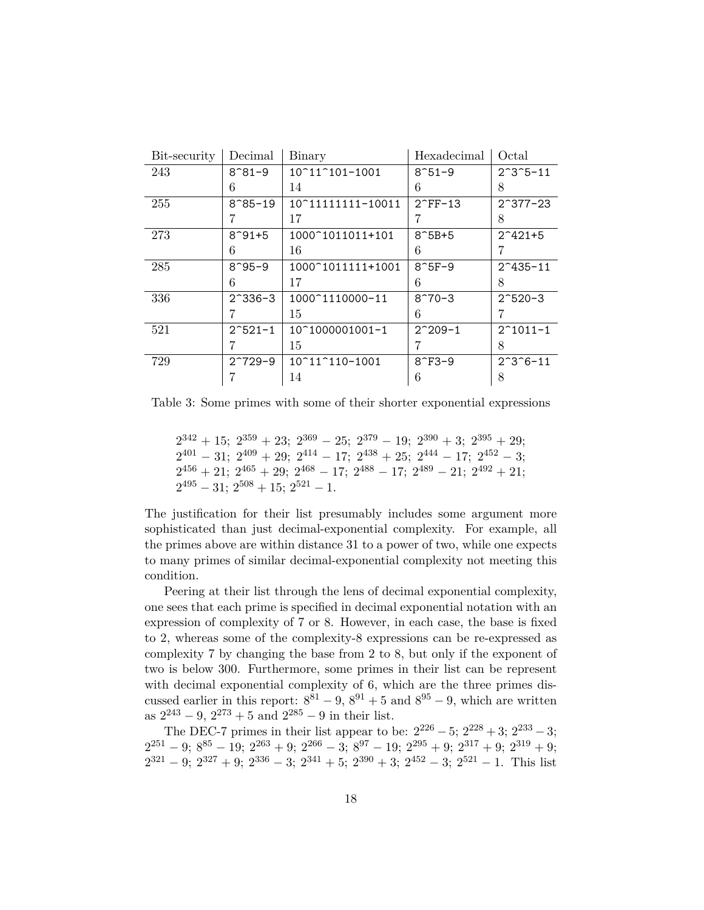| Bit-security | Decimal               | Binary                           | Hexadecimal            | Octal                    |
|--------------|-----------------------|----------------------------------|------------------------|--------------------------|
| 243          | $8^{\circ}81 - 9$     | $10^{\circ}11^{\circ}101 - 1001$ | $8^{\circ}51 - 9$      | $2^{\sim}3^{\sim}5 - 11$ |
|              | 6                     | 14                               | 6                      | 8                        |
| 255          | $8^{\circ}85 - 19$    | 10^11111111-10011                | $2$ <sup>-</sup> FF-13 | $2^{\sim}377 - 23$       |
|              |                       | 17                               |                        | 8                        |
| 273          | $8^{\degree}91+5$     | 1000^1011011+101                 | $8^{\circ}5B + 5$      | $2^{\text{-}}421+5$      |
|              | 6                     | 16                               | 6                      |                          |
| 285          | $8^{\circ}95 - 9$     | 1000^1011111+1001                | $8 - 5F - 9$           | $2^{\text{-}}435 - 11$   |
|              | 6                     | 17                               | 6                      | 8                        |
| 336          | $2^{\degree}336-3$    | 1000^1110000-11                  | $8^{\circ}70 - 3$      | $2^{\sim}520-3$          |
|              |                       | 15                               | 6                      |                          |
| 521          | $2^{\text{-}}521 - 1$ | 10^1000001001-1                  | $2^{\sim}209-1$        | $2^{\text{-}}1011 - 1$   |
|              |                       | 15                               | 7                      | 8                        |
| 729          | $2^{\sim}729-9$       | 10^11^110-1001                   | $8 - F3 - 9$           | $2^{\sim}3^{\sim}6 - 11$ |
|              |                       | 14                               | 6                      | 8                        |

Table 3: Some primes with some of their shorter exponential expressions

<span id="page-17-0"></span> $2^{342} + 15$ ;  $2^{359} + 23$ ;  $2^{369} - 25$ ;  $2^{379} - 19$ ;  $2^{390} + 3$ ;  $2^{395} + 29$ ;  $2^{401} - 31$ ;  $2^{409} + 29$ ;  $2^{414} - 17$ ;  $2^{438} + 25$ ;  $2^{444} - 17$ ;  $2^{452} - 3$ ;  $2^{456} + 21$ ;  $2^{465} + 29$ ;  $2^{468} - 17$ ;  $2^{488} - 17$ ;  $2^{489} - 21$ ;  $2^{492} + 21$ ;  $2^{495} - 31$ ;  $2^{508} + 15$ ;  $2^{521} - 1$ .

The justification for their list presumably includes some argument more sophisticated than just decimal-exponential complexity. For example, all the primes above are within distance 31 to a power of two, while one expects to many primes of similar decimal-exponential complexity not meeting this condition.

Peering at their list through the lens of decimal exponential complexity, one sees that each prime is specified in decimal exponential notation with an expression of complexity of 7 or 8. However, in each case, the base is fixed to 2, whereas some of the complexity-8 expressions can be re-expressed as complexity 7 by changing the base from 2 to 8, but only if the exponent of two is below 300. Furthermore, some primes in their list can be represent with decimal exponential complexity of 6, which are the three primes discussed earlier in this report:  $8^{81} - 9$ ,  $8^{91} + 5$  and  $8^{95} - 9$ , which are written as  $2^{243} - 9$ ,  $2^{273} + 5$  and  $2^{285} - 9$  in their list.

The DEC-7 primes in their list appear to be:  $2^{226} - 5$ ;  $2^{228} + 3$ ;  $2^{233} - 3$ ;  $2^{251} - 9$ ;  $8^{85} - 19$ ;  $2^{263} + 9$ ;  $2^{266} - 3$ ;  $8^{97} - 19$ ;  $2^{295} + 9$ ;  $2^{317} + 9$ ;  $2^{319} + 9$ ;  $2^{321} - 9$ ;  $2^{327} + 9$ ;  $2^{336} - 3$ ;  $2^{341} + 5$ ;  $2^{390} + 3$ ;  $2^{452} - 3$ ;  $2^{521} - 1$ . This list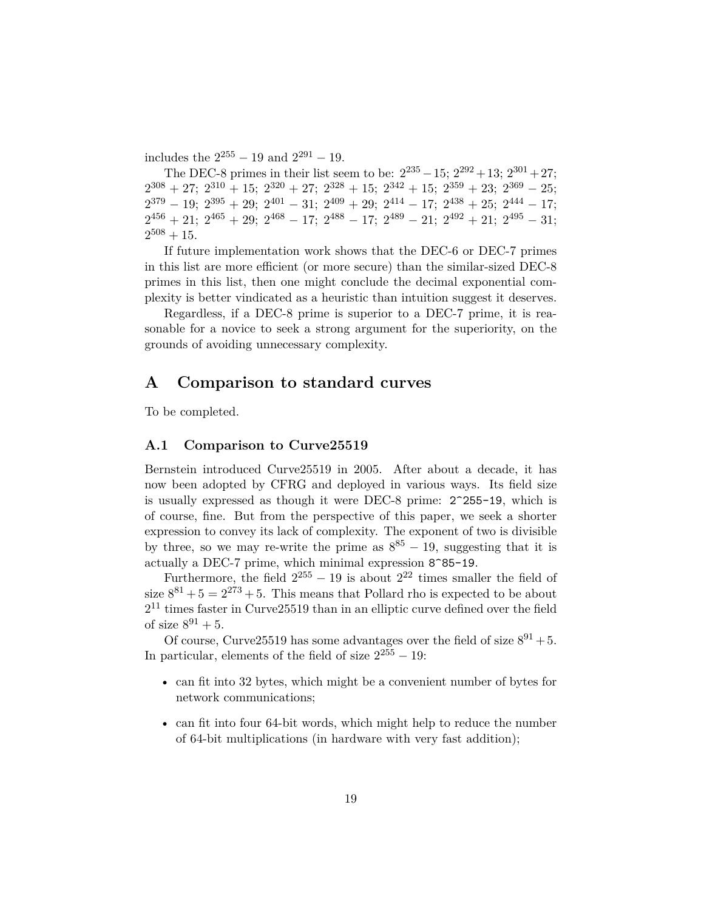includes the  $2^{255} - 19$  and  $2^{291} - 19$ .

The DEC-8 primes in their list seem to be:  $2^{235} - 15$ ;  $2^{292} + 13$ ;  $2^{301} + 27$ ;  $2^{308} + 27$ ;  $2^{310} + 15$ ;  $2^{320} + 27$ ;  $2^{328} + 15$ ;  $2^{342} + 15$ ;  $2^{359} + 23$ ;  $2^{369} - 25$ ;  $2^{379} - 19$ ;  $2^{395} + 29$ ;  $2^{401} - 31$ ;  $2^{409} + 29$ ;  $2^{414} - 17$ ;  $2^{438} + 25$ ;  $2^{444} - 17$ ;  $2^{456} + 21$ ;  $2^{465} + 29$ ;  $2^{468} - 17$ ;  $2^{488} - 17$ ;  $2^{489} - 21$ ;  $2^{492} + 21$ ;  $2^{495} - 31$ ;  $2^{508} + 15$ .

If future implementation work shows that the DEC-6 or DEC-7 primes in this list are more efficient (or more secure) than the similar-sized DEC-8 primes in this list, then one might conclude the decimal exponential complexity is better vindicated as a heuristic than intuition suggest it deserves.

Regardless, if a DEC-8 prime is superior to a DEC-7 prime, it is reasonable for a novice to seek a strong argument for the superiority, on the grounds of avoiding unnecessary complexity.

### **A Comparison to standard curves**

To be completed.

#### **A.1 Comparison to Curve25519**

Bernstein introduced Curve25519 in 2005. After about a decade, it has now been adopted by CFRG and deployed in various ways. Its field size is usually expressed as though it were DEC-8 prime: 2^255-19, which is of course, fine. But from the perspective of this paper, we seek a shorter expression to convey its lack of complexity. The exponent of two is divisible by three, so we may re-write the prime as  $8^{85} - 19$ , suggesting that it is actually a DEC-7 prime, which minimal expression 8^85-19.

Furthermore, the field  $2^{255} - 19$  is about  $2^{22}$  times smaller the field of size  $8^{81} + 5 = 2^{273} + 5$ . This means that Pollard rho is expected to be about 2 <sup>11</sup> times faster in Curve25519 than in an elliptic curve defined over the field of size  $8^{91} + 5$ .

Of course, Curve 25519 has some advantages over the field of size  $8^{91} + 5$ . In particular, elements of the field of size  $2^{255} - 19$ :

- can fit into 32 bytes, which might be a convenient number of bytes for network communications;
- can fit into four 64-bit words, which might help to reduce the number of 64-bit multiplications (in hardware with very fast addition);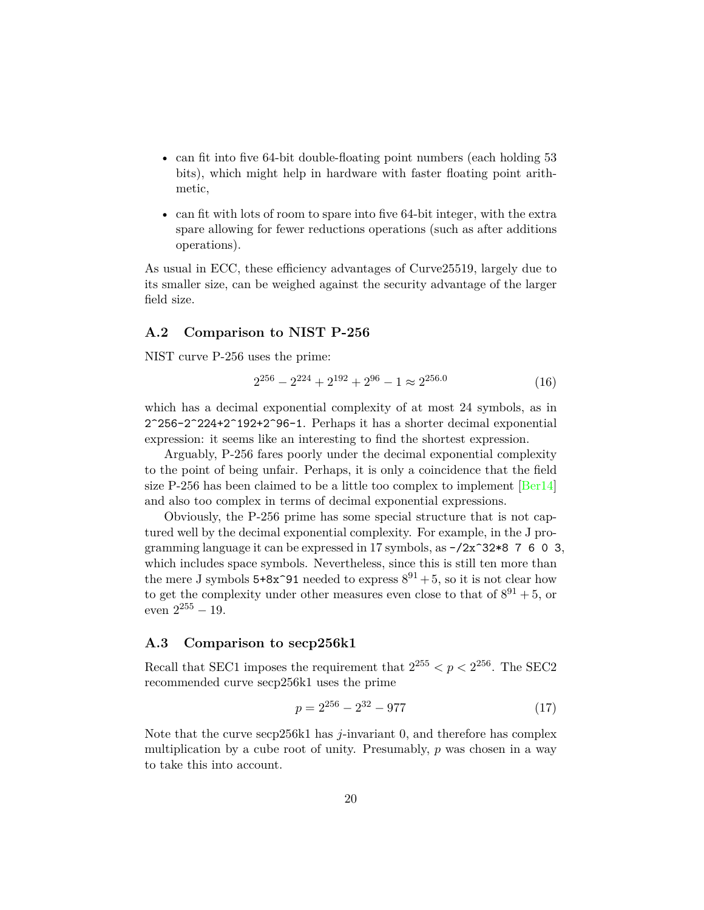- can fit into five 64-bit double-floating point numbers (each holding 53 bits), which might help in hardware with faster floating point arithmetic,
- can fit with lots of room to spare into five 64-bit integer, with the extra spare allowing for fewer reductions operations (such as after additions operations).

As usual in ECC, these efficiency advantages of Curve25519, largely due to its smaller size, can be weighed against the security advantage of the larger field size.

### **A.2 Comparison to NIST P-256**

NIST curve P-256 uses the prime:

$$
2^{256} - 2^{224} + 2^{192} + 2^{96} - 1 \approx 2^{256.0}
$$
 (16)

which has a decimal exponential complexity of at most 24 symbols, as in 2^256-2^224+2^192+2^96-1. Perhaps it has a shorter decimal exponential expression: it seems like an interesting to find the shortest expression.

Arguably, P-256 fares poorly under the decimal exponential complexity to the point of being unfair. Perhaps, it is only a coincidence that the field size P-256 has been claimed to be a little too complex to implement  $[Ber14]$ and also too complex in terms of decimal exponential expressions.

Obviously, the P-256 prime has some special structure that is not captured well by the decimal exponential complexity. For example, in the J programming language it can be expressed in 17 symbols, as  $\frac{-}{2x}$  32\*8 7 6 0 3, which includes space symbols. Nevertheless, since this is still ten more than the mere J symbols  $5+8x^{\degree}91$  needed to express  $8^{91} + 5$ , so it is not clear how to get the complexity under other measures even close to that of  $8^{91} + 5$ , or even  $2^{255} - 19$ .

### **A.3 Comparison to secp256k1**

Recall that SEC1 imposes the requirement that  $2^{255} < p < 2^{256}$ . The SEC2 recommended curve secp256k1 uses the prime

$$
p = 2^{256} - 2^{32} - 977\tag{17}
$$

Note that the curve secp256k1 has *j*-invariant 0, and therefore has complex multiplication by a cube root of unity. Presumably, *p* was chosen in a way to take this into account.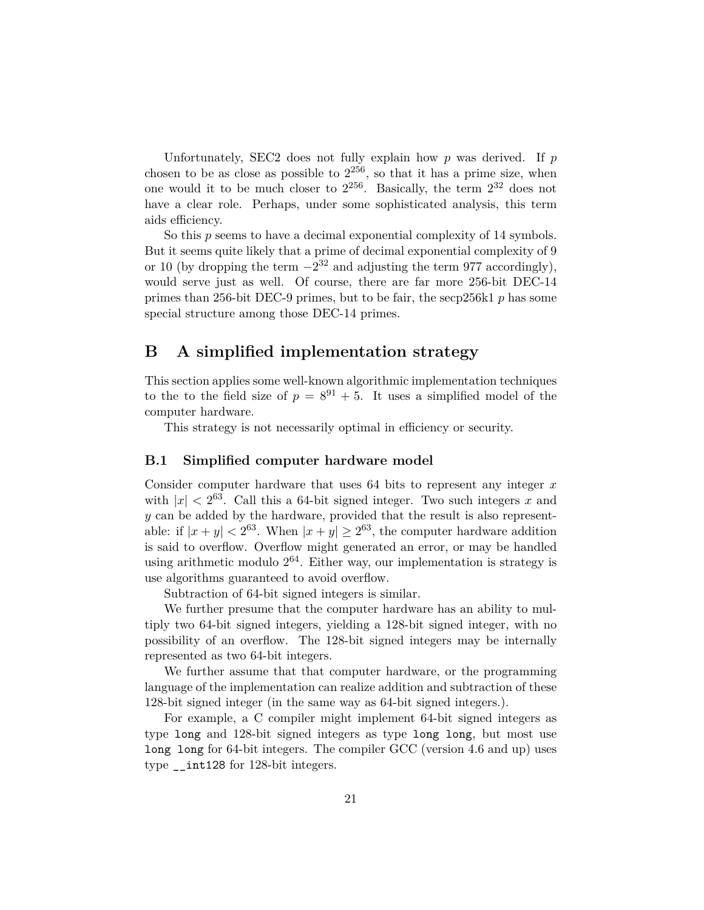Unfortunately, SEC2 does not fully explain how *p* was derived. If *p* chosen to be as close as possible to  $2^{256}$ , so that it has a prime size, when one would it to be much closer to  $2^{256}$ . Basically, the term  $2^{32}$  does not have a clear role. Perhaps, under some sophisticated analysis, this term aids efficiency.

So this *p* seems to have a decimal exponential complexity of 14 symbols. But it seems quite likely that a prime of decimal exponential complexity of 9 or 10 (by dropping the term  $-2^{32}$  and adjusting the term 977 accordingly), would serve just as well. Of course, there are far more 256-bit DEC-14 primes than 256-bit DEC-9 primes, but to be fair, the secp256k1 *p* has some special structure among those DEC-14 primes.

## **B A simplified implementation strategy**

This section applies some well-known algorithmic implementation techniques to the to the field size of  $p = 8^{91} + 5$ . It uses a simplified model of the computer hardware.

This strategy is not necessarily optimal in efficiency or security.

### **B.1 Simplified computer hardware model**

Consider computer hardware that uses 64 bits to represent any integer *x* with  $|x| < 2^{63}$ . Call this a 64-bit signed integer. Two such integers x and *y* can be added by the hardware, provided that the result is also representable: if  $|x + y| < 2^{63}$ . When  $|x + y| \ge 2^{63}$ , the computer hardware addition is said to overflow. Overflow might generated an error, or may be handled using arithmetic modulo  $2^{64}$ . Either way, our implementation is strategy is use algorithms guaranteed to avoid overflow.

Subtraction of 64-bit signed integers is similar.

We further presume that the computer hardware has an ability to multiply two 64-bit signed integers, yielding a 128-bit signed integer, with no possibility of an overflow. The 128-bit signed integers may be internally represented as two 64-bit integers.

We further assume that that computer hardware, or the programming language of the implementation can realize addition and subtraction of these 128-bit signed integer (in the same way as 64-bit signed integers.).

For example, a C compiler might implement 64-bit signed integers as type long and 128-bit signed integers as type long long, but most use long long for 64-bit integers. The compiler GCC (version 4.6 and up) uses type \_\_int128 for 128-bit integers.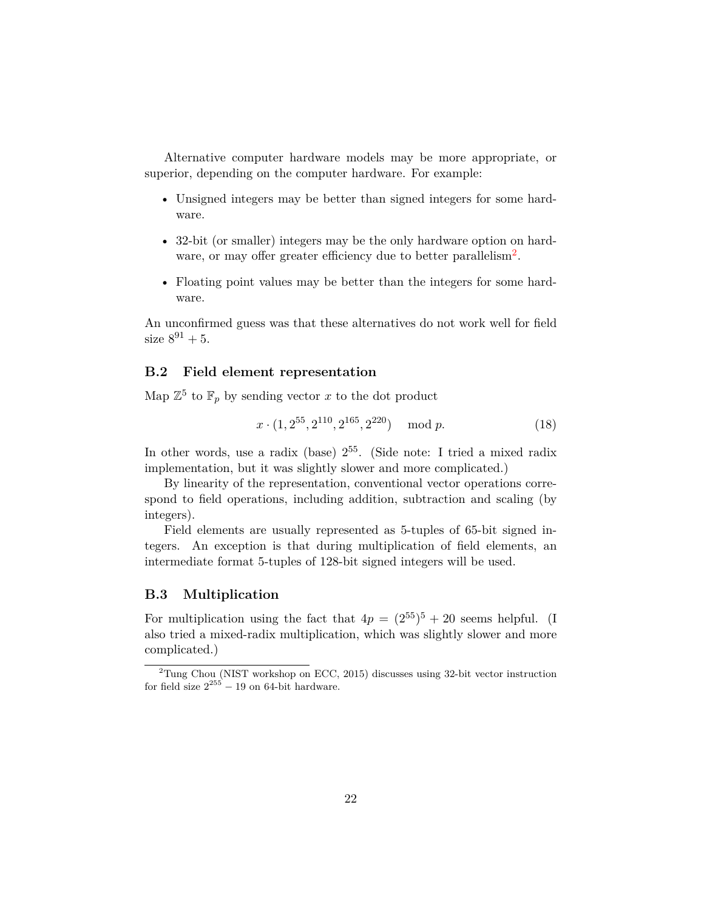Alternative computer hardware models may be more appropriate, or superior, depending on the computer hardware. For example:

- Unsigned integers may be better than signed integers for some hardware.
- 32-bit (or smaller) integers may be the only hardware option on hard-ware, or may offer greater efficiency due to better parallelism<sup>[2](#page-21-0)</sup>.
- Floating point values may be better than the integers for some hardware.

An unconfirmed guess was that these alternatives do not work well for field size  $8^{91} + 5$ .

### **B.2 Field element representation**

Map  $\mathbb{Z}^5$  to  $\mathbb{F}_p$  by sending vector *x* to the dot product

$$
x \cdot (1, 2^{55}, 2^{110}, 2^{165}, 2^{220}) \mod p. \tag{18}
$$

In other words, use a radix (base)  $2^{55}$ . (Side note: I tried a mixed radix implementation, but it was slightly slower and more complicated.)

By linearity of the representation, conventional vector operations correspond to field operations, including addition, subtraction and scaling (by integers).

Field elements are usually represented as 5-tuples of 65-bit signed integers. An exception is that during multiplication of field elements, an intermediate format 5-tuples of 128-bit signed integers will be used.

### **B.3 Multiplication**

For multiplication using the fact that  $4p = (2^{55})^5 + 20$  seems helpful. (I also tried a mixed-radix multiplication, which was slightly slower and more complicated.)

<span id="page-21-0"></span> $2$ Tung Chou (NIST workshop on ECC, 2015) discusses using 32-bit vector instruction for field size  $2^{255} - 19$  on 64-bit hardware.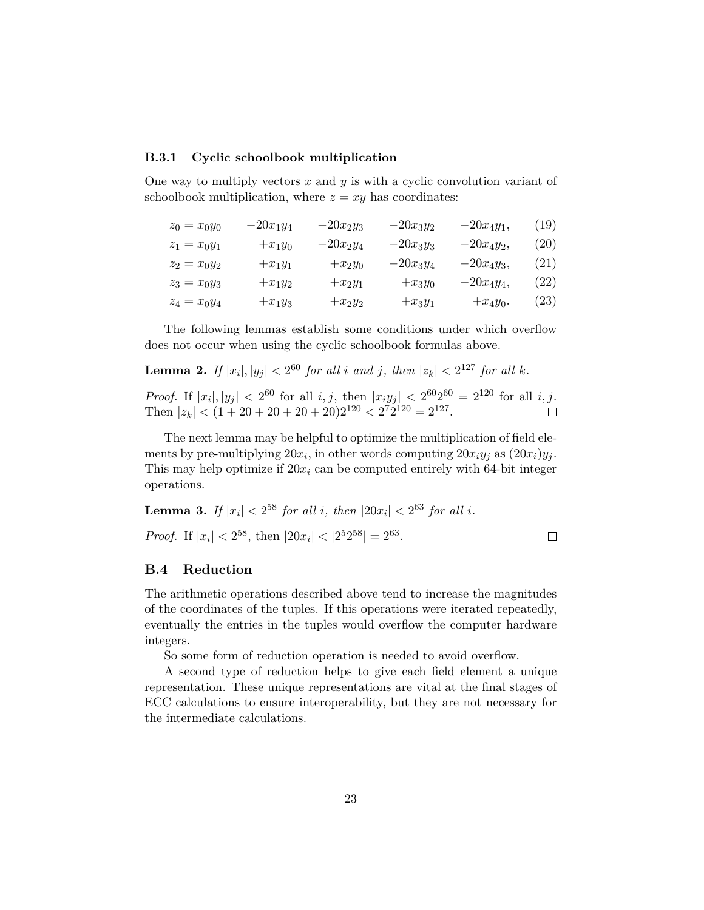### **B.3.1 Cyclic schoolbook multiplication**

One way to multiply vectors *x* and *y* is with a cyclic convolution variant of schoolbook multiplication, where  $z = xy$  has coordinates:

| $z_0 = x_0 y_0$ | $-20x_1y_4$ | $-20x_2y_3$ | $-20x_3y_2$ | $-20x_4y_1,$ | $\left(19\right)$  |
|-----------------|-------------|-------------|-------------|--------------|--------------------|
| $z_1 = x_0y_1$  | $+x_1y_0$   | $-20x_2y_4$ | $-20x_3y_3$ | $-20x_4y_2,$ | $\left( 20\right)$ |
| $z_2 = x_0y_2$  | $+x_1y_1$   | $+x_2y_0$   | $-20x_3y_4$ | $-20x_4y_3,$ | (21)               |
| $z_3 = x_0y_3$  | $+x_1y_2$   | $+x_2y_1$   | $+x_3y_0$   | $-20x_4y_4,$ | $\left( 22\right)$ |
| $z_4 = x_0 y_4$ | $+x_1y_3$   | $+x_2y_2$   | $+x_3y_1$   | $+x_4y_0.$   | $\left( 23\right)$ |

The following lemmas establish some conditions under which overflow does not occur when using the cyclic schoolbook formulas above.

**Lemma 2.** If  $|x_i|, |y_j| < 2^{60}$  for all *i* and *j*, then  $|z_k| < 2^{127}$  for all *k*.

*Proof.* If  $|x_i|, |y_j| < 2^{60}$  for all *i, j,* then  $|x_i y_j| < 2^{60} 2^{60} = 2^{120}$  for all *i, j.* Then  $|z_k| < (1 + 20 + 20 + 20 + 20)2^{120} < 2^7 2^{120} = 2^{127}$ .  $\Box$ 

The next lemma may be helpful to optimize the multiplication of field elements by pre-multiplying  $20x_i$ , in other words computing  $20x_iy_j$  as  $(20x_i)y_j$ . This may help optimize if  $20x_i$  can be computed entirely with 64-bit integer operations.

**Lemma 3.** If 
$$
|x_i| < 2^{58}
$$
 for all i, then  $|20x_i| < 2^{63}$  for all i.  
Proof. If  $|x_i| < 2^{58}$ , then  $|20x_i| < |2^{52^{58}}| = 2^{63}$ .

### **B.4 Reduction**

The arithmetic operations described above tend to increase the magnitudes of the coordinates of the tuples. If this operations were iterated repeatedly, eventually the entries in the tuples would overflow the computer hardware integers.

So some form of reduction operation is needed to avoid overflow.

A second type of reduction helps to give each field element a unique representation. These unique representations are vital at the final stages of ECC calculations to ensure interoperability, but they are not necessary for the intermediate calculations.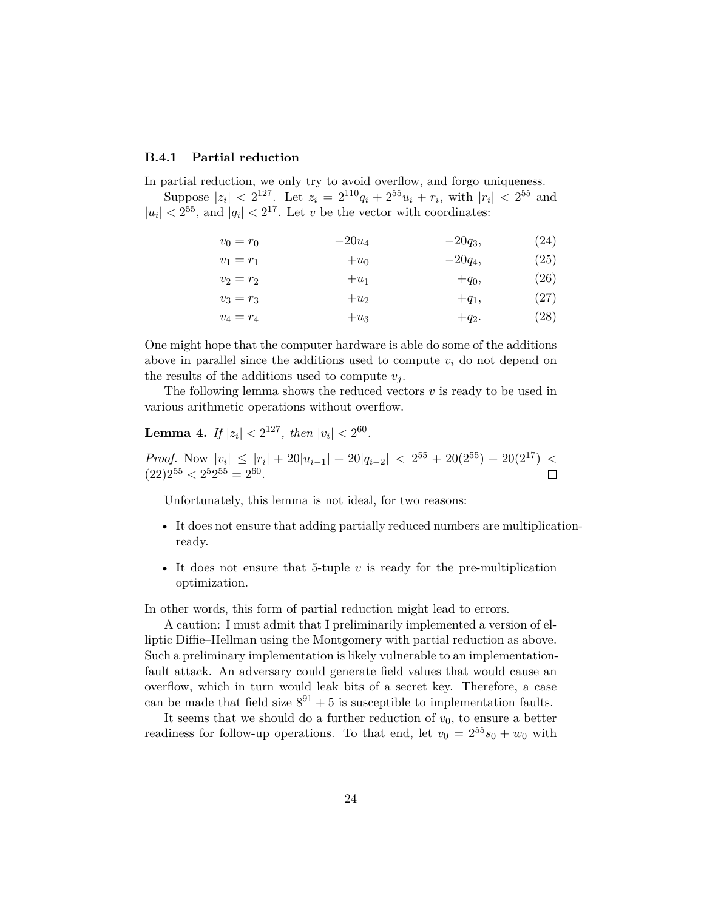### **B.4.1 Partial reduction**

In partial reduction, we only try to avoid overflow, and forgo uniqueness.

Suppose  $|z_i| < 2^{127}$ . Let  $z_i = 2^{110}q_i + 2^{55}u_i + r_i$ , with  $|r_i| < 2^{55}$  and  $|u_i| < 2^{55}$ , and  $|q_i| < 2^{17}$ . Let *v* be the vector with coordinates:

| $v_0 = r_0$ | $-20u_4$ | $-20q_3,$ | (24) |
|-------------|----------|-----------|------|
| $v_1 = r_1$ | $+u_0$   | $-20q_4,$ | (25) |
| $v_2 = r_2$ | $+u_1$   | $+q_0$    | (26) |
| $v_3 = r_3$ | $+u_2$   | $+q_1,$   | (27) |
| $v_4 = r_4$ | $+u_3$   | $+q_2.$   | (28) |
|             |          |           |      |

One might hope that the computer hardware is able do some of the additions above in parallel since the additions used to compute  $v_i$  do not depend on the results of the additions used to compute  $v_j$ .

The following lemma shows the reduced vectors *v* is ready to be used in various arithmetic operations without overflow.

## **Lemma 4.** *If*  $|z_i| < 2^{127}$ , *then*  $|v_i| < 2^{60}$ .

*Proof.* Now  $|v_i| \leq |r_i| + 20|u_{i-1}| + 20|q_{i-2}| < 2^{55} + 20(2^{55}) + 20(2^{17})$  $(22)2^{55} < 2^5 2^{55} = 2^{60}.$ 

Unfortunately, this lemma is not ideal, for two reasons:

- It does not ensure that adding partially reduced numbers are multiplicationready.
- It does not ensure that 5-tuple  $v$  is ready for the pre-multiplication optimization.

In other words, this form of partial reduction might lead to errors.

A caution: I must admit that I preliminarily implemented a version of elliptic Diffie–Hellman using the Montgomery with partial reduction as above. Such a preliminary implementation is likely vulnerable to an implementationfault attack. An adversary could generate field values that would cause an overflow, which in turn would leak bits of a secret key. Therefore, a case can be made that field size  $8^{91} + 5$  is susceptible to implementation faults.

It seems that we should do a further reduction of  $v_0$ , to ensure a better readiness for follow-up operations. To that end, let  $v_0 = 2^{55} s_0 + w_0$  with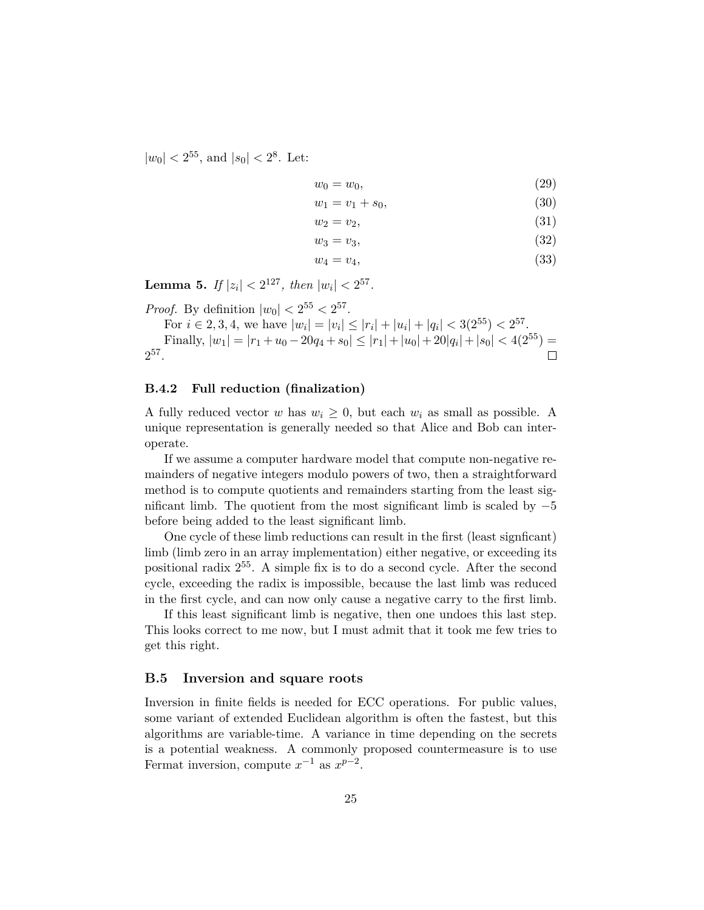$|w_0| < 2^{55}$ , and  $|s_0| < 2^8$ . Let:

$$
w_0 = w_0,\t\t(29)
$$

$$
w_1 = v_1 + s_0,\t\t(30)
$$

$$
w_2 = v_2,\tag{31}
$$

$$
w_3 = v_3,\tag{32}
$$

$$
w_4 = v_4,\tag{33}
$$

**Lemma 5.** *If*  $|z_i| < 2^{127}$ , *then*  $|w_i| < 2^{57}$ .

*Proof.* By definition  $|w_0| < 2^{55} < 2^{57}$ .

For  $i \in 2, 3, 4$ , we have  $|w_i| = |v_i| \leq |r_i| + |u_i| + |q_i| < 3(2^{55}) < 2^{57}$ . Finally,  $|w_1| = |r_1 + u_0 - 20q_4 + s_0| \leq |r_1| + |u_0| + 20|q_i| + |s_0| < 4(2^{55}) =$ 2 57 *.*  $\Box$ 

#### **B.4.2 Full reduction (finalization)**

A fully reduced vector *w* has  $w_i \geq 0$ , but each  $w_i$  as small as possible. A unique representation is generally needed so that Alice and Bob can interoperate.

If we assume a computer hardware model that compute non-negative remainders of negative integers modulo powers of two, then a straightforward method is to compute quotients and remainders starting from the least significant limb. The quotient from the most significant limb is scaled by −5 before being added to the least significant limb.

One cycle of these limb reductions can result in the first (least signficant) limb (limb zero in an array implementation) either negative, or exceeding its positional radix 2 <sup>55</sup>. A simple fix is to do a second cycle. After the second cycle, exceeding the radix is impossible, because the last limb was reduced in the first cycle, and can now only cause a negative carry to the first limb.

If this least significant limb is negative, then one undoes this last step. This looks correct to me now, but I must admit that it took me few tries to get this right.

#### **B.5 Inversion and square roots**

Inversion in finite fields is needed for ECC operations. For public values, some variant of extended Euclidean algorithm is often the fastest, but this algorithms are variable-time. A variance in time depending on the secrets is a potential weakness. A commonly proposed countermeasure is to use Fermat inversion, compute  $x^{-1}$  as  $x^{p-2}$ .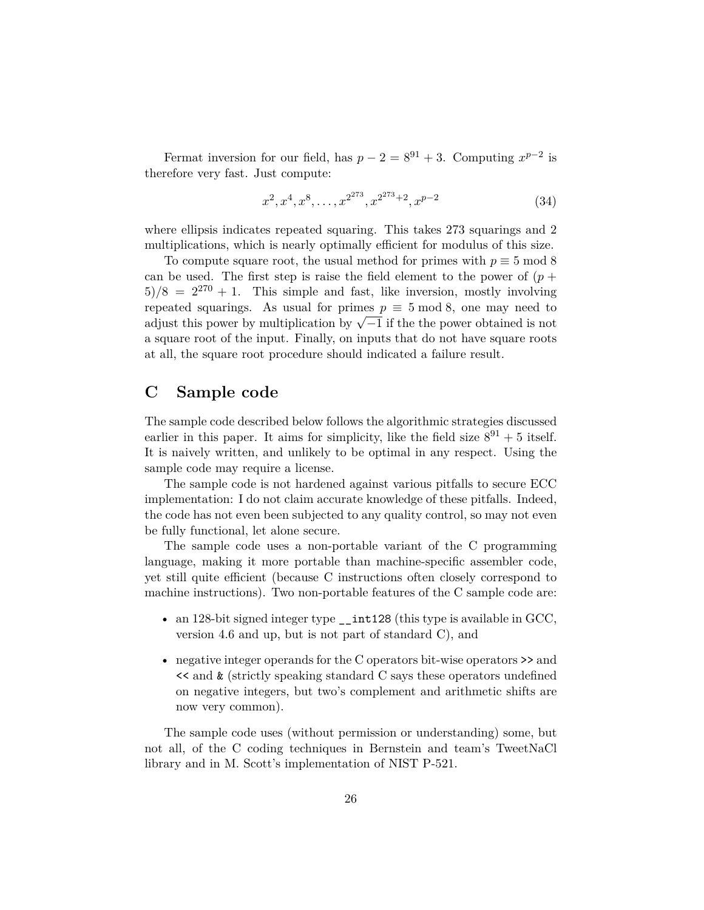Fermat inversion for our field, has  $p - 2 = 8^{91} + 3$ . Computing  $x^{p-2}$  is therefore very fast. Just compute:

$$
x^2, x^4, x^8, \dots, x^{2^{273}}, x^{2^{273}+2}, x^{p-2}
$$
 (34)

where ellipsis indicates repeated squaring. This takes 273 squarings and 2 multiplications, which is nearly optimally efficient for modulus of this size.

To compute square root, the usual method for primes with  $p \equiv 5 \mod 8$ can be used. The first step is raise the field element to the power of  $(p +$  $5/8 = 2^{270} + 1$ . This simple and fast, like inversion, mostly involving repeated squarings. As usual for primes  $p \equiv 5 \mod 8$ , one may need to repeated squarings. As usual for primes  $p = 3 \mod 8$ , one may need to adjust this power by multiplication by  $\sqrt{-1}$  if the the power obtained is not a square root of the input. Finally, on inputs that do not have square roots at all, the square root procedure should indicated a failure result.

## **C Sample code**

The sample code described below follows the algorithmic strategies discussed earlier in this paper. It aims for simplicity, like the field size  $8^{91} + 5$  itself. It is naively written, and unlikely to be optimal in any respect. Using the sample code may require a license.

The sample code is not hardened against various pitfalls to secure ECC implementation: I do not claim accurate knowledge of these pitfalls. Indeed, the code has not even been subjected to any quality control, so may not even be fully functional, let alone secure.

The sample code uses a non-portable variant of the C programming language, making it more portable than machine-specific assembler code, yet still quite efficient (because C instructions often closely correspond to machine instructions). Two non-portable features of the C sample code are:

- an 128-bit signed integer type \_\_int128 (this type is available in GCC, version 4.6 and up, but is not part of standard C), and
- negative integer operands for the C operators bit-wise operators >> and  $\leq$  and  $\&$  (strictly speaking standard C says these operators undefined on negative integers, but two's complement and arithmetic shifts are now very common).

The sample code uses (without permission or understanding) some, but not all, of the C coding techniques in Bernstein and team's TweetNaCl library and in M. Scott's implementation of NIST P-521.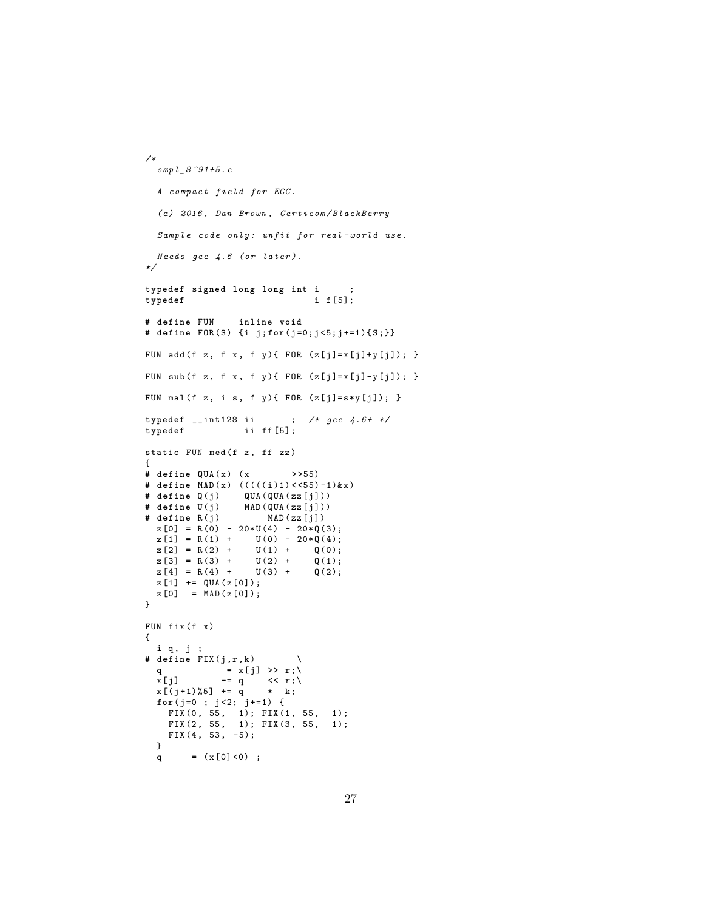```
/*
  smpl_8 ^91+5. c
  A compact field for ECC .
   ( c ) 2016 , Dan Brown , Certicom / BlackBerry
  Sample code only: unfit for real-world use.
  Needs gcc 4.6 ( or later ).
*/
typedef signed long long int i ;
typedef i f [5];
# define FUN inline void
# define FOR(S) {i j; for(j=0;j<5;j+=1){S;}}
FUN add (f z, f x, f y) FOR (z[j]=x[j]+y[j]); }
FUN sub (f z, f x, f y) FOR (z[j]=x[j]-y[j]); }
FUN mal (f z, i s, f y) \{ FOR (z[j] = s*y[j]); \}typedef __int128 ii ; /* gcc 4.6+ */
                     typedef ii ff [5];
static FUN med (f z, ff zz)
{
# define QUA (x ) (x > >55)
# define MAD(x) (((((i)1) <<55)-1) & x)
# define Q(j ) QUA ( QUA ( zz [j ]))
                    # MAD (QUA (zz [j]))<br># MAD (zz [j])
# define R(j)
   z[0] = R(0) - 20*U(4) - 20*Q(3);z[1] = R(1) + U(0) - 20*Q(4);z [2] = R(2) + U(1) + Q(0);<br>z [3] = R(3) + U(2) + Q(1);\begin{array}{l} z \, [3] \; = \; R \, (3) \; + \hspace{1cm} \text{\hspace{1cm}} \text{\normalsize U \, (2) \; + \hspace{1cm}} \text{\hspace{1cm}} \text{\normalsize Q \, (1) \, ;} \\ z \, [4] \; = \; R \, (4) \; + \hspace{1cm} \text{\normalsize U \, (3) \; + \hspace{1cm}} \text{\normalsize Q \, (2) \, ;} \end{array}z [4] = R(4) + U(3) +z [1] += QUA (z [0]);z[0] = MAD(z[0]);}
FUN fix (f x)
{
  i q, j ;
# define FIX (j ,r ,k) \
   q = x[j] >> r; \lambdax[j] - = q << r;\
   x [( j +1)%5] += q * k;
  for (j=0 ; j<2; j++)FIX (0, 55, 1); FIX (1, 55, 1);
      FIX (2, 55, 1); FIX (3, 55, 1);
      FIX (4 , 53 , -5);
  }
  q = (x [0] < 0);
```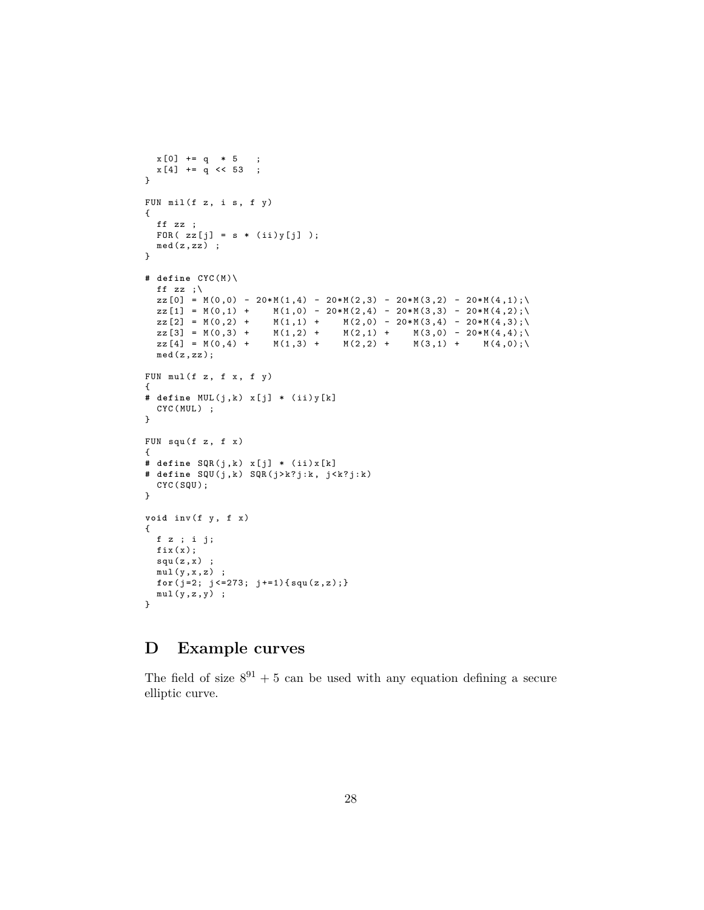```
x [0] += q * 5 ;
   x [4] += q << 53 ;
}
FUN mil(f z, i s, f y){
  ff zz ;
  FOR( zz[j] = s * (ii)y[j] );
  \texttt{med(z,zz)}\; ;
}
# define CYC(M)\
  ff zz ;\setminuszz [0] = M(0,0) - 20*M(1,4) - 20*M(2,3) - 20*M(3,2) - 20*M(4,1);\<br>zz [1] = M(0,1) + M(1,0) - 20*M(2,4) - 20*M(3,3) - 20*M(4,2);\zz [1] = M(0,1) + M(1,0) - 20*M(2,4) - 20*M(3,3) - 20*M(4,2);\<br>zz [2] = M(0,2) + M(1,1) + M(2,0) - 20*M(3,4) - 20*M(4,3);\ranglezz [2] = M(0,2) + M(1,1) + M(2,0) - 20*M(3,4) - 20*M(4,3);zz [3] = M(0,3) + M(1,2) + M(2,1) + M(3,0) - 20*M(4,4);zz [4] = M(0,4) + M(1,3) + M(2,2) + M(3,1) + M(4,0);med (z , zz );
FUN mul (f z, f x, f y){
# define MUL (j ,k) x[j] * ( ii ) y[k]
  CYC(MUL) ;
}
FUN squ(f z, f x)
{
# define SQR (j ,k) x[j] * ( ii ) x[k]
# define SQU (j ,k) SQR (j >k?j :k , j <k?j :k)
  CYC(SQU);
}
void inv (f y , f x)
{
  f z ; i j;
  fix(x);squ(z, x) ;
  mul(y, x, z);
  for (j=2; j<=273; j+=1){squ(z,z)};mul(y, z, y);
}
```
## **D Example curves**

The field of size  $8^{91} + 5$  can be used with any equation defining a secure elliptic curve.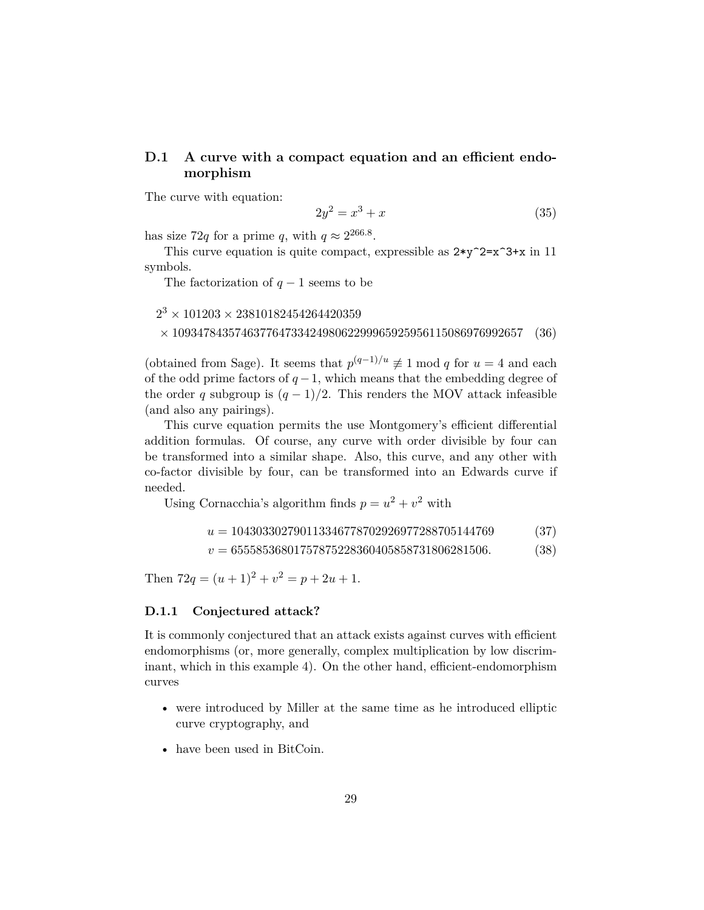## **D.1 A curve with a compact equation and an efficient endomorphism**

The curve with equation:

$$
2y^2 = x^3 + x \tag{35}
$$

has size 72*q* for a prime *q*, with  $q \approx 2^{266.8}$ .

This curve equation is quite compact, expressible as  $2*y^2=x^3+x$  in 11 symbols.

The factorization of  $q-1$  seems to be

 $2^3 \times 101203 \times 23810182454264420359$  $\times$  10934784357463776473342498062299965925956115086976992657 (36)

(obtained from Sage). It seems that  $p^{(q-1)/u} \not\equiv 1 \mod q$  for  $u = 4$  and each of the odd prime factors of  $q-1$ , which means that the embedding degree of the order *q* subgroup is  $(q-1)/2$ . This renders the MOV attack infeasible (and also any pairings).

This curve equation permits the use Montgomery's efficient differential addition formulas. Of course, any curve with order divisible by four can be transformed into a similar shape. Also, this curve, and any other with co-factor divisible by four, can be transformed into an Edwards curve if needed.

Using Cornacchia's algorithm finds  $p = u^2 + v^2$  with

```
u = 104303302790113346778702926977288705144769 (37)
```
*v* = 65558536801757875228360405858731806281506*.* (38)

Then  $72q = (u+1)^2 + v^2 = p + 2u + 1$ .

#### **D.1.1 Conjectured attack?**

It is commonly conjectured that an attack exists against curves with efficient endomorphisms (or, more generally, complex multiplication by low discriminant, which in this example 4). On the other hand, efficient-endomorphism curves

- were introduced by Miller at the same time as he introduced elliptic curve cryptography, and
- have been used in BitCoin.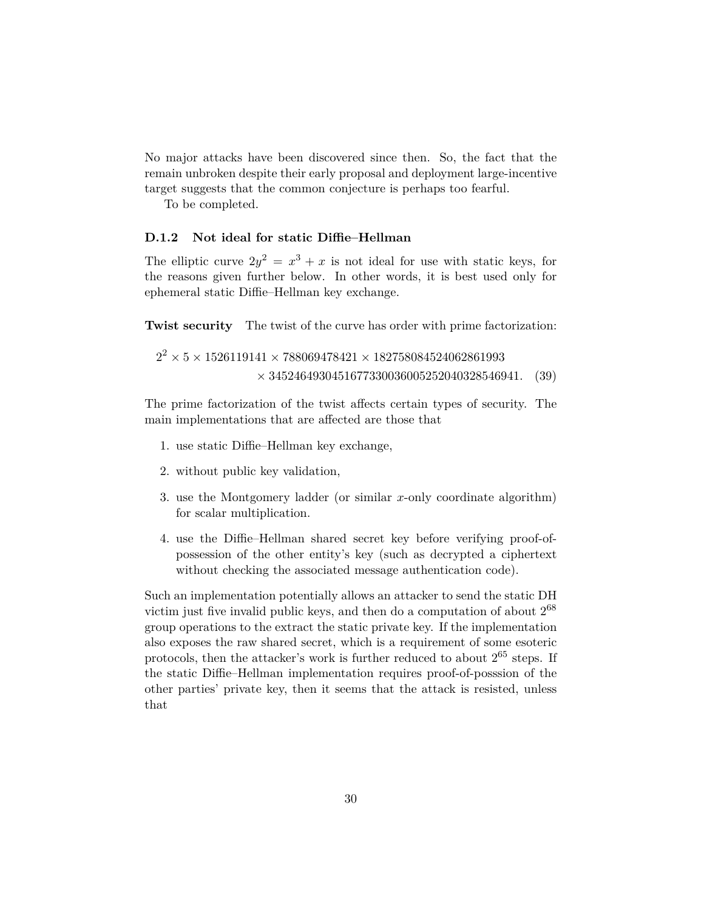No major attacks have been discovered since then. So, the fact that the remain unbroken despite their early proposal and deployment large-incentive target suggests that the common conjecture is perhaps too fearful.

To be completed.

### **D.1.2 Not ideal for static Diffie–Hellman**

The elliptic curve  $2y^2 = x^3 + x$  is not ideal for use with static keys, for the reasons given further below. In other words, it is best used only for ephemeral static Diffie–Hellman key exchange.

**Twist security** The twist of the curve has order with prime factorization:

 $2^2 \times 5 \times 1526119141 \times 788069478421 \times 182758084524062861993$ × 3452464930451677330036005252040328546941*.* (39)

The prime factorization of the twist affects certain types of security. The main implementations that are affected are those that

- 1. use static Diffie–Hellman key exchange,
- 2. without public key validation,
- 3. use the Montgomery ladder (or similar *x*-only coordinate algorithm) for scalar multiplication.
- 4. use the Diffie–Hellman shared secret key before verifying proof-ofpossession of the other entity's key (such as decrypted a ciphertext without checking the associated message authentication code).

Such an implementation potentially allows an attacker to send the static DH victim just five invalid public keys, and then do a computation of about  $2^{68}$ group operations to the extract the static private key. If the implementation also exposes the raw shared secret, which is a requirement of some esoteric protocols, then the attacker's work is further reduced to about 2 <sup>65</sup> steps. If the static Diffie–Hellman implementation requires proof-of-posssion of the other parties' private key, then it seems that the attack is resisted, unless that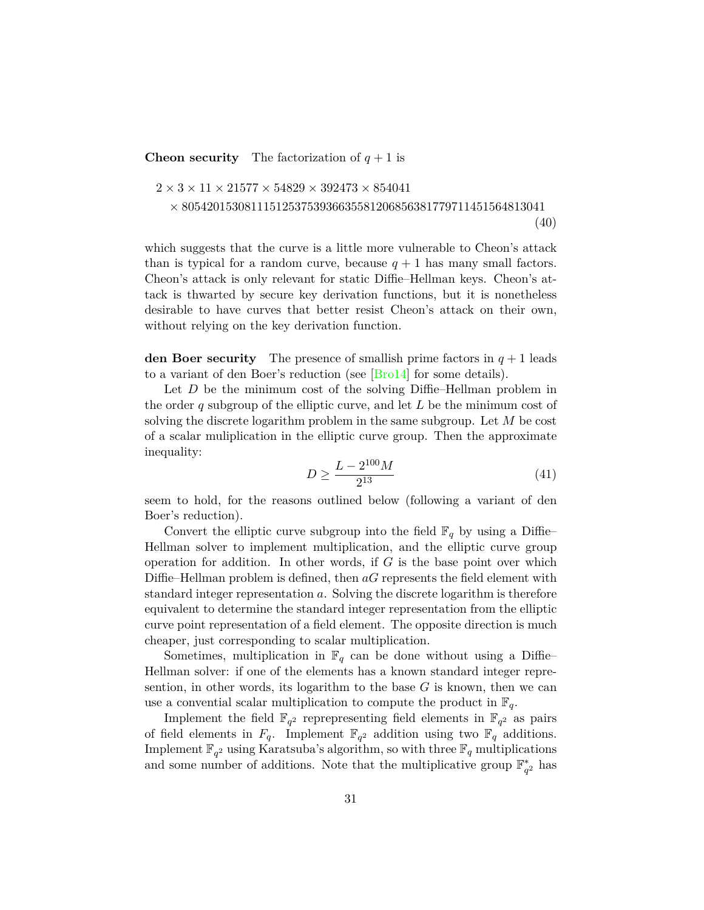**Cheon security** The factorization of  $q + 1$  is

$$
2 \times 3 \times 11 \times 21577 \times 54829 \times 392473 \times 854041
$$
  
× 8054201530811151253753936635581206856381779711451564813041 (40)

which suggests that the curve is a little more vulnerable to Cheon's attack than is typical for a random curve, because  $q + 1$  has many small factors. Cheon's attack is only relevant for static Diffie–Hellman keys. Cheon's attack is thwarted by secure key derivation functions, but it is nonetheless desirable to have curves that better resist Cheon's attack on their own, without relying on the key derivation function.

**den Boer security** The presence of smallish prime factors in  $q + 1$  leads to a variant of den Boer's reduction (see [\[Bro14\]](#page-39-5) for some details).

Let *D* be the minimum cost of the solving Diffie–Hellman problem in the order *q* subgroup of the elliptic curve, and let *L* be the minimum cost of solving the discrete logarithm problem in the same subgroup. Let *M* be cost of a scalar muliplication in the elliptic curve group. Then the approximate inequality:

<span id="page-30-0"></span>
$$
D \ge \frac{L - 2^{100}M}{2^{13}}\tag{41}
$$

seem to hold, for the reasons outlined below (following a variant of den Boer's reduction).

Convert the elliptic curve subgroup into the field  $\mathbb{F}_q$  by using a Diffie– Hellman solver to implement multiplication, and the elliptic curve group operation for addition. In other words, if *G* is the base point over which Diffie–Hellman problem is defined, then *aG* represents the field element with standard integer representation *a*. Solving the discrete logarithm is therefore equivalent to determine the standard integer representation from the elliptic curve point representation of a field element. The opposite direction is much cheaper, just corresponding to scalar multiplication.

Sometimes, multiplication in  $\mathbb{F}_q$  can be done without using a Diffie– Hellman solver: if one of the elements has a known standard integer represention, in other words, its logarithm to the base *G* is known, then we can use a convential scalar multiplication to compute the product in  $\mathbb{F}_q$ .

Implement the field  $\mathbb{F}_{q^2}$  reprepresenting field elements in  $\mathbb{F}_{q^2}$  as pairs of field elements in  $F_q$ . Implement  $\mathbb{F}_{q^2}$  addition using two  $\mathbb{F}_q$  additions. Implement  $\mathbb{F}_{q^2}$  using Karatsuba's algorithm, so with three  $\mathbb{F}_q$  multiplications and some number of additions. Note that the multiplicative group  $\mathbb{F}_{q^2}^*$  has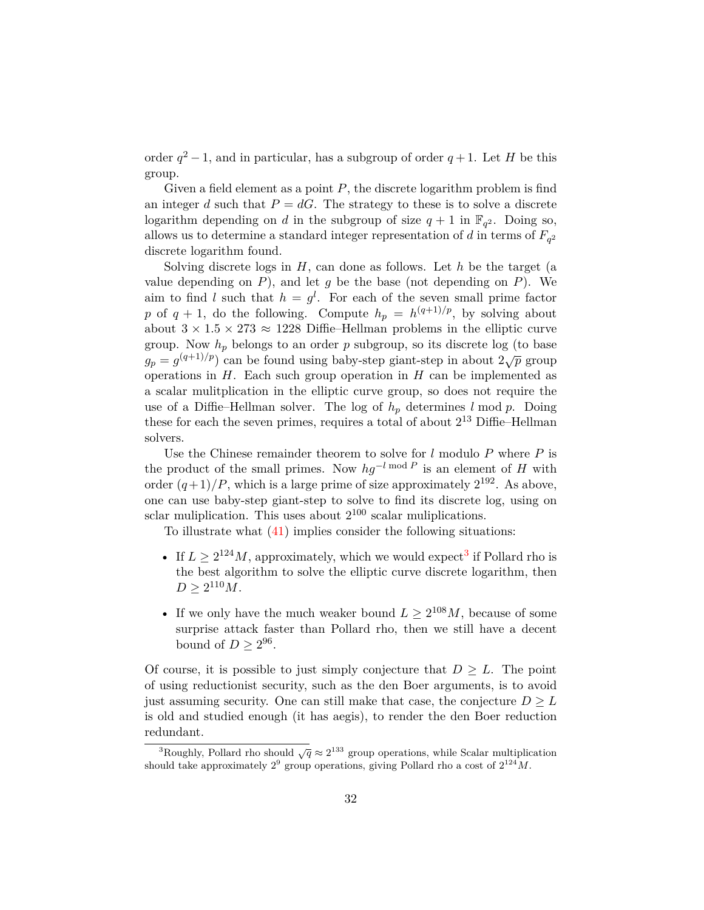order  $q^2 - 1$ , and in particular, has a subgroup of order  $q + 1$ . Let *H* be this group.

Given a field element as a point *P*, the discrete logarithm problem is find an integer *d* such that  $P = dG$ . The strategy to these is to solve a discrete logarithm depending on *d* in the subgroup of size  $q + 1$  in  $\mathbb{F}_{q^2}$ . Doing so, allows us to determine a standard integer representation of *d* in terms of *F<sup>q</sup>* 2 discrete logarithm found.

Solving discrete logs in *H*, can done as follows. Let *h* be the target (a value depending on  $P$ ), and let  $g$  be the base (not depending on  $P$ ). We aim to find *l* such that  $h = g^l$ . For each of the seven small prime factor *p* of  $q + 1$ , do the following. Compute  $h_p = h^{(q+1)/p}$ , by solving about about  $3 \times 1.5 \times 273 \approx 1228$  Diffie–Hellman problems in the elliptic curve group. Now  $h_p$  belongs to an order  $p$  subgroup, so its discrete log (to base  $g_p = g^{(q+1)/p}$  can be found using baby-step giant-step in about  $2\sqrt{p}$  group operations in *H*. Each such group operation in *H* can be implemented as a scalar mulitplication in the elliptic curve group, so does not require the use of a Diffie–Hellman solver. The log of  $h_p$  determines  $l \mod p$ . Doing these for each the seven primes, requires a total of about  $2^{13}$  Diffie–Hellman solvers.

Use the Chinese remainder theorem to solve for *l* modulo *P* where *P* is the product of the small primes. Now  $hq^{-l \mod P}$  is an element of *H* with order  $(q+1)/P$ , which is a large prime of size approximately  $2^{192}$ . As above, one can use baby-step giant-step to solve to find its discrete log, using on sclar muliplication. This uses about  $2^{100}$  scalar muliplications.

To illustrate what [\(41\)](#page-30-0) implies consider the following situations:

- If  $L \geq 2^{124}M$ , approximately, which we would expect<sup>[3](#page-31-0)</sup> if Pollard rho is the best algorithm to solve the elliptic curve discrete logarithm, then  $D \geq 2^{110} M$ .
- If we only have the much weaker bound  $L \geq 2^{108}M$ , because of some surprise attack faster than Pollard rho, then we still have a decent bound of  $D \geq 2^{96}$ .

Of course, it is possible to just simply conjecture that  $D \geq L$ . The point of using reductionist security, such as the den Boer arguments, is to avoid just assuming security. One can still make that case, the conjecture  $D \geq L$ is old and studied enough (it has aegis), to render the den Boer reduction redundant.

<span id="page-31-0"></span> $\frac{3}{3}$ Roughly, Pollard rho should  $\sqrt{q} \approx 2^{133}$  group operations, while Scalar multiplication should take approximately  $2^9$  group operations, giving Pollard rho a cost of  $2^{124}M$ .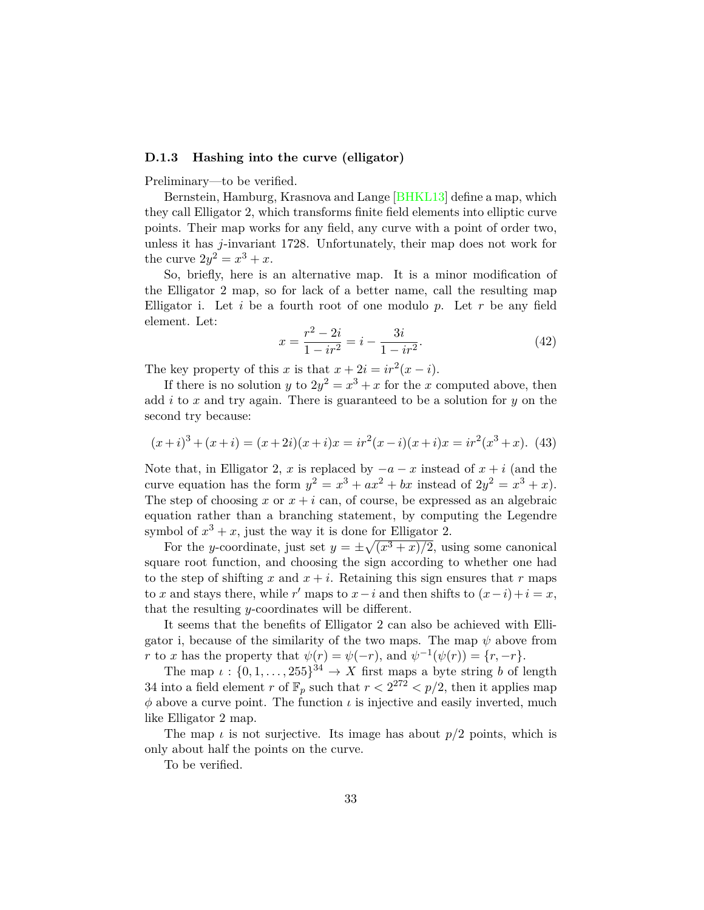#### **D.1.3 Hashing into the curve (elligator)**

Preliminary—to be verified.

Bernstein, Hamburg, Krasnova and Lange [\[BHKL13\]](#page-39-4) define a map, which they call Elligator 2, which transforms finite field elements into elliptic curve points. Their map works for any field, any curve with a point of order two, unless it has *j*-invariant 1728. Unfortunately, their map does not work for the curve  $2y^2 = x^3 + x$ .

So, briefly, here is an alternative map. It is a minor modification of the Elligator 2 map, so for lack of a better name, call the resulting map Elligator i. Let *i* be a fourth root of one modulo *p*. Let *r* be any field element. Let:

$$
x = \frac{r^2 - 2i}{1 - ir^2} = i - \frac{3i}{1 - ir^2}.
$$
\n(42)

The key property of this *x* is that  $x + 2i = ir^2(x - i)$ .

If there is no solution *y* to  $2y^2 = x^3 + x$  for the *x* computed above, then add *i* to *x* and try again. There is guaranteed to be a solution for *y* on the second try because:

$$
(x+i)^3 + (x+i) = (x+2i)(x+i)x = ir^2(x-i)(x+i)x = ir^2(x^3+x).
$$
 (43)

Note that, in Elligator 2, *x* is replaced by  $-a-x$  instead of  $x + i$  (and the curve equation has the form  $y^2 = x^3 + ax^2 + bx$  instead of  $2y^2 = x^3 + x$ . The step of choosing *x* or  $x + i$  can, of course, be expressed as an algebraic equation rather than a branching statement, by computing the Legendre symbol of  $x^3 + x$ , just the way it is done for Elligator 2.

For the *y*-coordinate, just set  $y = \pm \sqrt{(x^3 + x)/2}$ , using some canonical square root function, and choosing the sign according to whether one had to the step of shifting x and  $x + i$ . Retaining this sign ensures that r maps to *x* and stays there, while *r*<sup>'</sup> maps to  $x - i$  and then shifts to  $(x - i) + i = x$ , that the resulting *y*-coordinates will be different.

It seems that the benefits of Elligator 2 can also be achieved with Elligator i, because of the similarity of the two maps. The map  $\psi$  above from *r* to *x* has the property that  $\psi(r) = \psi(-r)$ , and  $\psi^{-1}(\psi(r)) = \{r, -r\}.$ 

The map  $\iota : \{0, 1, \ldots, 255\}^{34} \to X$  first maps a byte string *b* of length 34 into a field element *r* of  $\mathbb{F}_p$  such that  $r < 2^{272} < p/2$ , then it applies map  $\phi$  above a curve point. The function  $\iota$  is injective and easily inverted, much like Elligator 2 map.

The map  $\iota$  is not surjective. Its image has about  $p/2$  points, which is only about half the points on the curve.

To be verified.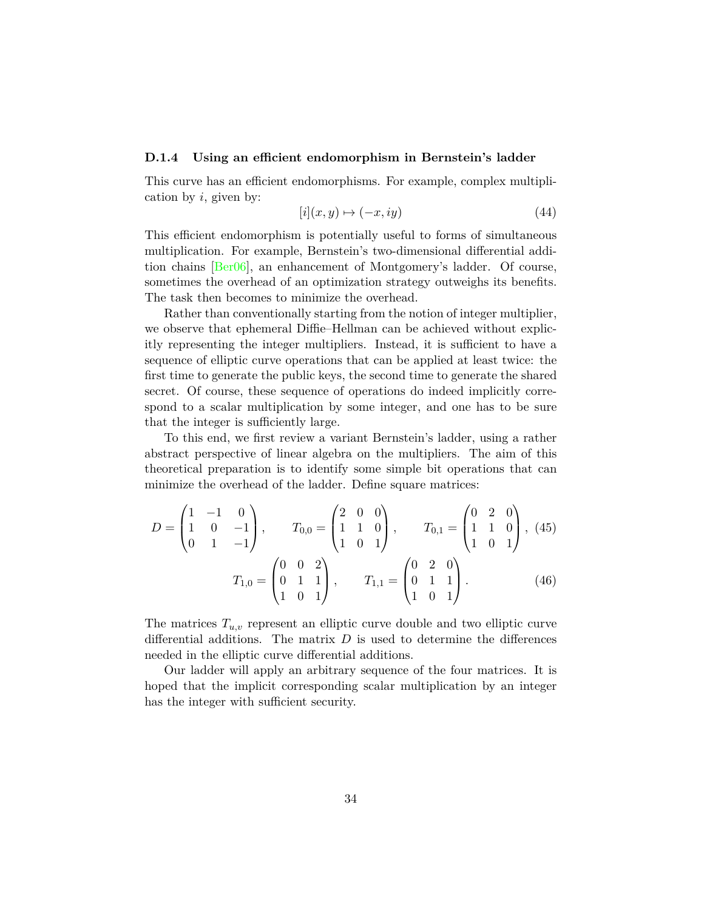### **D.1.4 Using an efficient endomorphism in Bernstein's ladder**

This curve has an efficient endomorphisms. For example, complex multiplication by *i*, given by:

$$
[i](x, y) \mapsto (-x, iy) \tag{44}
$$

This efficient endomorphism is potentially useful to forms of simultaneous multiplication. For example, Bernstein's two-dimensional differential addition chains [\[Ber06\]](#page-38-0), an enhancement of Montgomery's ladder. Of course, sometimes the overhead of an optimization strategy outweighs its benefits. The task then becomes to minimize the overhead.

Rather than conventionally starting from the notion of integer multiplier, we observe that ephemeral Diffie–Hellman can be achieved without explicitly representing the integer multipliers. Instead, it is sufficient to have a sequence of elliptic curve operations that can be applied at least twice: the first time to generate the public keys, the second time to generate the shared secret. Of course, these sequence of operations do indeed implicitly correspond to a scalar multiplication by some integer, and one has to be sure that the integer is sufficiently large.

To this end, we first review a variant Bernstein's ladder, using a rather abstract perspective of linear algebra on the multipliers. The aim of this theoretical preparation is to identify some simple bit operations that can minimize the overhead of the ladder. Define square matrices:

$$
D = \begin{pmatrix} 1 & -1 & 0 \\ 1 & 0 & -1 \\ 0 & 1 & -1 \end{pmatrix}, \qquad T_{0,0} = \begin{pmatrix} 2 & 0 & 0 \\ 1 & 1 & 0 \\ 1 & 0 & 1 \end{pmatrix}, \qquad T_{0,1} = \begin{pmatrix} 0 & 2 & 0 \\ 1 & 1 & 0 \\ 1 & 0 & 1 \end{pmatrix}, (45)
$$

$$
T_{1,0} = \begin{pmatrix} 0 & 0 & 2 \\ 0 & 1 & 1 \\ 1 & 0 & 1 \end{pmatrix}, \qquad T_{1,1} = \begin{pmatrix} 0 & 2 & 0 \\ 0 & 1 & 1 \\ 1 & 0 & 1 \end{pmatrix}.
$$
 (46)

The matrices  $T_{u,v}$  represent an elliptic curve double and two elliptic curve differential additions. The matrix *D* is used to determine the differences needed in the elliptic curve differential additions.

Our ladder will apply an arbitrary sequence of the four matrices. It is hoped that the implicit corresponding scalar multiplication by an integer has the integer with sufficient security.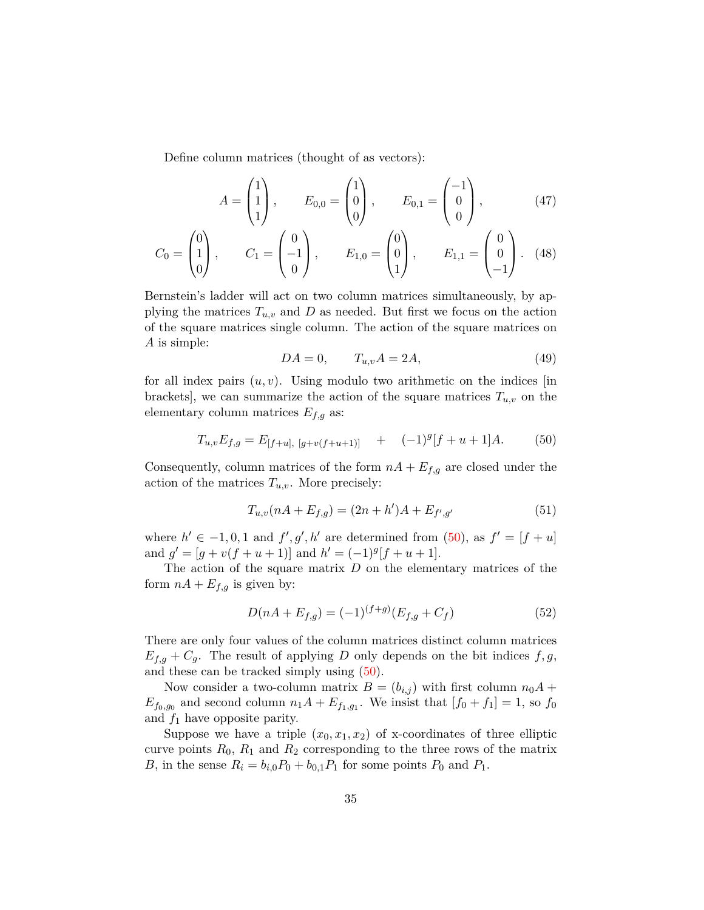Define column matrices (thought of as vectors):

$$
A = \begin{pmatrix} 1 \\ 1 \\ 1 \end{pmatrix}, \qquad E_{0,0} = \begin{pmatrix} 1 \\ 0 \\ 0 \end{pmatrix}, \qquad E_{0,1} = \begin{pmatrix} -1 \\ 0 \\ 0 \end{pmatrix}, \tag{47}
$$

$$
C_0 = \begin{pmatrix} 0 \\ 1 \\ 0 \end{pmatrix}, \qquad C_1 = \begin{pmatrix} 0 \\ -1 \\ 0 \end{pmatrix}, \qquad E_{1,0} = \begin{pmatrix} 0 \\ 0 \\ 1 \end{pmatrix}, \qquad E_{1,1} = \begin{pmatrix} 0 \\ 0 \\ -1 \end{pmatrix}. \tag{48}
$$

Bernstein's ladder will act on two column matrices simultaneously, by applying the matrices  $T_{u,v}$  and  $D$  as needed. But first we focus on the action of the square matrices single column. The action of the square matrices on *A* is simple:

$$
DA = 0, \qquad T_{u,v}A = 2A,\tag{49}
$$

for all index pairs  $(u, v)$ . Using modulo two arithmetic on the indices [in] brackets, we can summarize the action of the square matrices  $T_{u,v}$  on the elementary column matrices *Ef,g* as:

<span id="page-34-0"></span>
$$
T_{u,v}E_{f,g} = E_{[f+u], [g+v(f+u+1)]} + (-1)^{g}[f+u+1]A.
$$
 (50)

Consequently, column matrices of the form  $nA + E_{f,q}$  are closed under the action of the matrices  $T_{u,v}$ . More precisely:

$$
T_{u,v}(nA + E_{f,g}) = (2n + h')A + E_{f',g'} \tag{51}
$$

where  $h' \in -1, 0, 1$  and  $f', g', h'$  are determined from [\(50\)](#page-34-0), as  $f' = [f + u]$ and  $g' = [g + v(f + u + 1)]$  and  $h' = (-1)^g[f + u + 1]$ .

The action of the square matrix *D* on the elementary matrices of the form  $nA + E_{f,q}$  is given by:

$$
D(nA + E_{f,g}) = (-1)^{(f+g)}(E_{f,g} + C_f)
$$
\n(52)

There are only four values of the column matrices distinct column matrices  $E_{f,g} + C_g$ . The result of applying *D* only depends on the bit indices  $f, g$ , and these can be tracked simply using [\(50\)](#page-34-0).

Now consider a two-column matrix  $B = (b_{i,j})$  with first column  $n_0A +$  $E_{f_0, g_0}$  and second column  $n_1 A + E_{f_1, g_1}$ . We insist that  $[f_0 + f_1] = 1$ , so  $f_0$ and *f*<sup>1</sup> have opposite parity.

Suppose we have a triple  $(x_0, x_1, x_2)$  of x-coordinates of three elliptic curve points  $R_0$ ,  $R_1$  and  $R_2$  corresponding to the three rows of the matrix *B*, in the sense  $R_i = b_{i,0}P_0 + b_{0,1}P_1$  for some points  $P_0$  and  $P_1$ .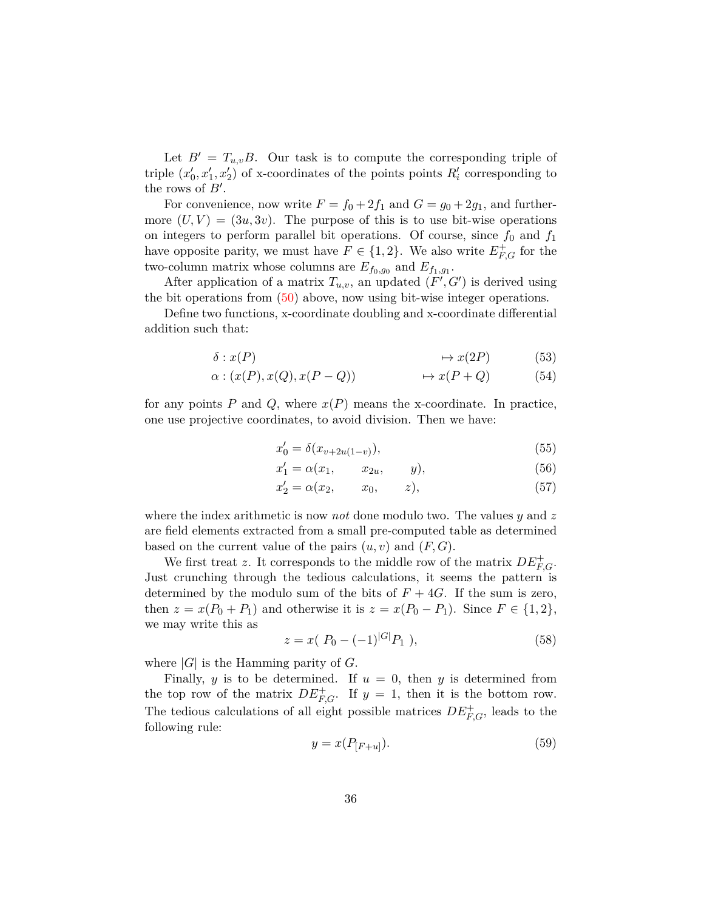Let  $B' = T_{u,v}B$ . Our task is to compute the corresponding triple of triple  $(x'_0, x'_1, x'_2)$  of x-coordinates of the points points  $R'_i$  corresponding to the rows of  $B'$ .

For convenience, now write  $F = f_0 + 2f_1$  and  $G = g_0 + 2g_1$ , and furthermore  $(U, V) = (3u, 3v)$ . The purpose of this is to use bit-wise operations on integers to perform parallel bit operations. Of course, since  $f_0$  and  $f_1$ have opposite parity, we must have  $F \in \{1, 2\}$ . We also write  $E_{F,G}^+$  for the two-column matrix whose columns are  $E_{f_0,g_0}$  and  $E_{f_1,g_1}$ .

After application of a matrix  $T_{u,v}$ , an updated  $(F^{\prime}, G^{\prime})$  is derived using the bit operations from [\(50\)](#page-34-0) above, now using bit-wise integer operations.

Define two functions, x-coordinate doubling and x-coordinate differential addition such that:

$$
\delta: x(P) \qquad \qquad \mapsto x(2P) \qquad (53)
$$

$$
\alpha : (x(P), x(Q), x(P - Q)) \longrightarrow x(P + Q) \tag{54}
$$

for any points  $P$  and  $Q$ , where  $x(P)$  means the x-coordinate. In practice, one use projective coordinates, to avoid division. Then we have:

$$
x_0' = \delta(x_{v+2u(1-v)}),
$$
\n(55)

$$
x_1' = \alpha(x_1, \, x_{2u}, \, y), \tag{56}
$$

$$
x_2' = \alpha(x_2, \qquad x_0, \qquad z), \tag{57}
$$

where the index arithmetic is now *not* done modulo two. The values *y* and *z* are field elements extracted from a small pre-computed table as determined based on the current value of the pairs  $(u, v)$  and  $(F, G)$ .

We first treat z. It corresponds to the middle row of the matrix  $DE_{F,G}^+$ . Just crunching through the tedious calculations, it seems the pattern is determined by the modulo sum of the bits of  $F + 4G$ . If the sum is zero, then  $z = x(P_0 + P_1)$  and otherwise it is  $z = x(P_0 - P_1)$ . Since  $F \in \{1, 2\}$ , we may write this as

$$
z = x(P_0 - (-1)^{|G|} P_1), \tag{58}
$$

where  $|G|$  is the Hamming parity of  $G$ .

Finally, *y* is to be determined. If  $u = 0$ , then *y* is determined from the top row of the matrix  $DE_{F,G}^+$ . If  $y = 1$ , then it is the bottom row. The tedious calculations of all eight possible matrices  $DE_{F,G}^+$ , leads to the following rule:

$$
y = x(P_{[F+u]}). \tag{59}
$$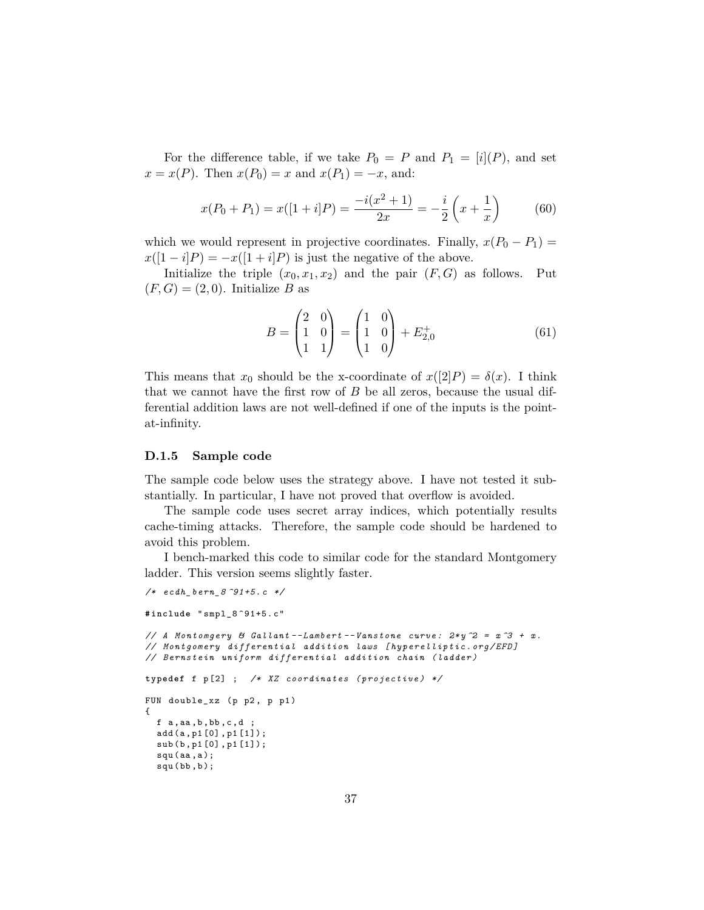For the difference table, if we take  $P_0 = P$  and  $P_1 = [i](P)$ , and set *x* = *x*(*P*). Then *x*(*P*<sub>0</sub>) = *x* and *x*(*P*<sub>1</sub>) = −*x*, and:

$$
x(P_0 + P_1) = x([1 + i]P) = \frac{-i(x^2 + 1)}{2x} = -\frac{i}{2}\left(x + \frac{1}{x}\right)
$$
(60)

which we would represent in projective coordinates. Finally,  $x(P_0 - P_1) =$  $x([1 - i]P) = -x([1 + i]P)$  is just the negative of the above.

Initialize the triple  $(x_0, x_1, x_2)$  and the pair  $(F, G)$  as follows. Put  $(F, G) = (2, 0)$ . Initialize *B* as

$$
B = \begin{pmatrix} 2 & 0 \\ 1 & 0 \\ 1 & 1 \end{pmatrix} = \begin{pmatrix} 1 & 0 \\ 1 & 0 \\ 1 & 0 \end{pmatrix} + E_{2,0}^{+}
$$
 (61)

This means that  $x_0$  should be the x-coordinate of  $x([2]P) = \delta(x)$ . I think that we cannot have the first row of *B* be all zeros, because the usual differential addition laws are not well-defined if one of the inputs is the pointat-infinity.

#### **D.1.5 Sample code**

The sample code below uses the strategy above. I have not tested it substantially. In particular, I have not proved that overflow is avoided.

The sample code uses secret array indices, which potentially results cache-timing attacks. Therefore, the sample code should be hardened to avoid this problem.

I bench-marked this code to similar code for the standard Montgomery ladder. This version seems slightly faster.

```
/* ecdh_bern_8 ^91+5. c */
# include " smpl_8 ^91+5. c"
// A Montomgery & Gallant - Lambert - Vanstone curve: 2*y^2 = x^3 + x.
// Montgomery differential addition laws [ hy pe re ll ipt ic . org / EFD ]
// Bernstein uniform differential addition chain ( ladder )
typedef f p [2] ; /* XZ coordinates ( projective ) */
FUN double_xz (p p2, p p1)
{
  f a, aa, b, bb, c, d ;
  add (a , p1 [0] , p1 [1]);
  sub(b,p1[0],p1[1]);
  squ (aa, a);squ(bb, b);
```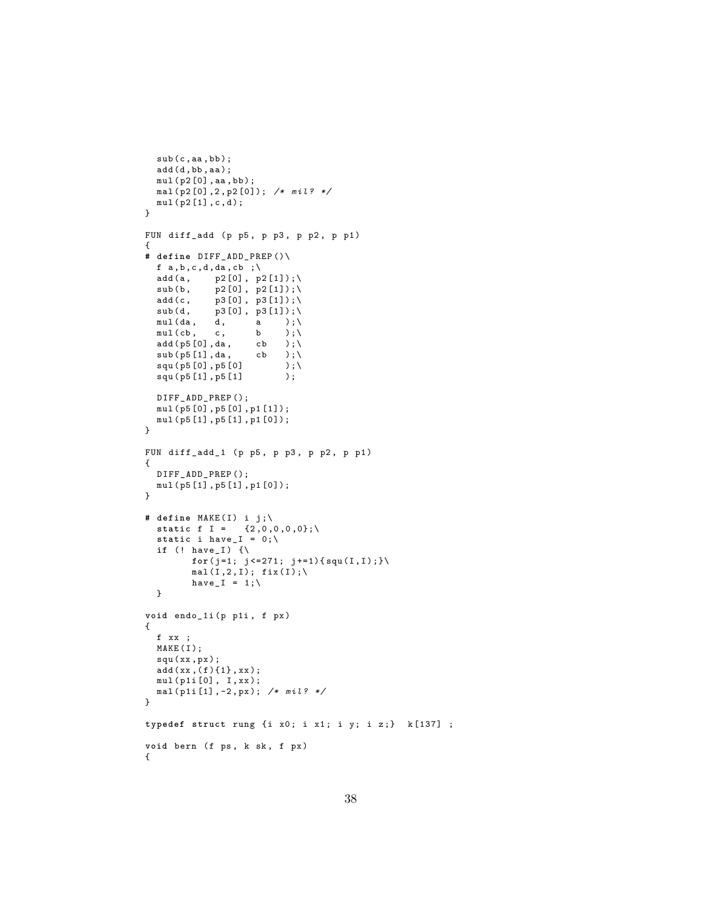```
sub (c, aa, bb);
   add (d ,bb , aa );
  mul ( p2 [0] , aa , bb );
  mal ( p2 [0] ,2 , p2 [0]); /* mil ? */
  mul(p2[1], c, d);}
FUN diff_add (p p5, p p3, p p2, p p1)
\mathfrak{t}# define DIFF_ADD_PREP ()\
  f a, b, c, d, da, cb; \add (a, p2[0], p2[1]); \<br>sub(b, p2[0], p2[1]);
  sub(b, p2[0], p2[1]); \<br>add(c, p3[0], p3[1]);
  add(c, p3[0], p3[1]);\<br>sub(d, p3[0], p3[1]);
                \begin{array}{ccc} \texttt{p3[0]}, & \texttt{p3[1]}); \backslash \\ \texttt{d}, & \texttt{a} & \backslash; \backslash \end{array}mu1 (da,
  mul(cb, c, b );\<br>add(p5[0],da, cb );\
  add(p5[0], da, \t cb);<br>sub(p5[1], da, \t cb);
  sub(p5[1], da,squ ( p5 [0], p5 [0] ) );\<br>squ ( p5 [1], p5 [1] ) );
  squ ( p5 [1] , p5 [1] );
  DIFF_ADD_PREP();
  mul ( p5 [0] , p5 [0] , p1 [1]);
  mul ( p5 [1] , p5 [1] , p1 [0]);
}
FUN diff_add_1 (p p5 , p p3 , p p2 , p p1 )
{
  DIFF_ADD_PREP ();
  mul ( p5 [1] , p5 [1] , p1 [0]);
}
# define MAKE (I) i j ;\
   static f I = \{2,0,0,0,0\};\static i have_I = 0;\
  if (! have_I) \{\setminusfor (j=1; j<=271; j+=1){squ(I,I)};mal(I,2,I); fix(I);have_I = 1; \backslash}
void endo_1i (p p1i , f px )
{
  f xx ;
  MAKE(I);
  squ (xx , px );
  add(xx, (f){1}, xx);mul ( p1i [0] , I , xx );
  mal ( p1i [1] , -2 , px ); /* mil ? */
}
typedef struct rung { i x0 ; i x1 ; i y; i z ;} k [137] ;
void bern (f ps, k sk, f px)
{
```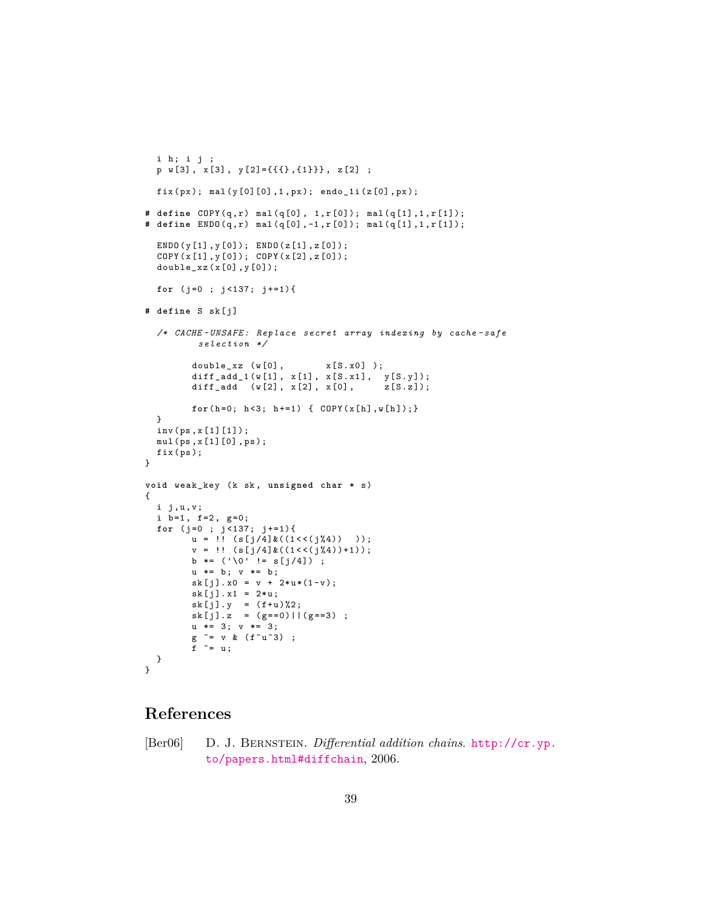```
i h; i j ;
   p w [3] , x [3] , y [2]={{{} ,{1}}} , z [2] ;
  fix (px); mal (y[0][0], 1, px); endo_1i (z[0], px);
# define COPY (q , r) mal (q [0] , 1,r [0]); mal (q [1] ,1 , r [1]);
# define ENDO (q , r) mal (q [0] , -1 , r [0]); mal ( q [1] ,1 , r [1]);
  ENDO (y [1] , y [0]); ENDO (z [1] , z [0]);
  COPY (x [1], y [0]); COPY (x [2], z [0]);double_xz ( x [0] , y [0]);
  for (j=0 ; j<137 ; j+=1){
# define S sk [j ]
  /* CACHE - UNSAFE : Replace secret array indexing by cache - safe
          selection */
          double\_xz \ (w[0], \ x[S.x0]);
          diff_add_1 (w [1] , x [1] , x[S . x1 ], y[S.y ]);
          diff_add (w [2], x [2], x [0], z [S.z]);
         for(h=0; h<3; h+=1) { COPY (x[h], w[h]); }
  }
  inv (ps ,x [1][1]);
  mul (ps ,x [1][0] , ps );
  fix(ps);}
void weak_key (k sk, unsigned char * s)
{
  i j, u, v;
  i b=1, f=2, g=0;
   for (j =0 ; j <137; j +=1){
          u = !! (s[j/4]&((1<<(j%4)) ));
         v = !! (s[j/4] & ((1 < \langle j \rangle 4)) + 1));b *= ('\0' != s[j/4]) ;
         u *= b; v *= b;
         sk[j].x0 = v + 2*u*(1-v);sk[j] . x1 = 2*u;sk[j], y = (f+u) \% 2;sk [j].z = (g == 0) | | (g == 3) ;u *= 3; v = 3;g ^= v & (f^ u ^3) ;
          f \hat{ } = u;
  }
}
```
## **References**

<span id="page-38-0"></span>[Ber06] D. J. Bernstein. *Differential addition chains*. [http://cr.yp.](http://cr.yp.to/papers.html#diffchain) [to/papers.html#diffchain](http://cr.yp.to/papers.html#diffchain), 2006.